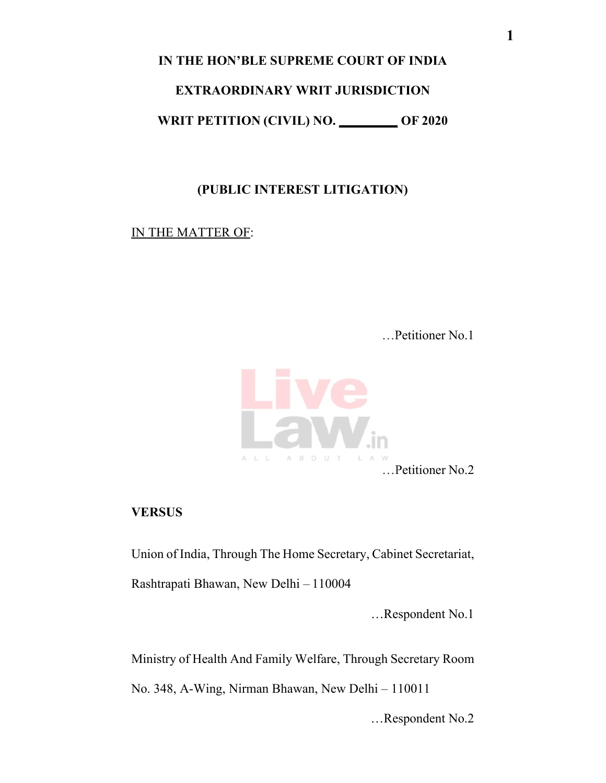**IN THE HON'BLE SUPREME COURT OF INDIA** 

#### **EXTRAORDINARY WRIT JURISDICTION**

**WRIT PETITION (CIVIL) NO. \_\_\_\_\_\_\_\_\_ OF 2020**

### **(PUBLIC INTEREST LITIGATION)**

#### IN THE MATTER OF:

…Petitioner No.1



### **VERSUS**

Union of India, Through The Home Secretary, Cabinet Secretariat,

Rashtrapati Bhawan, New Delhi – 110004

…Respondent No.1

Ministry of Health And Family Welfare, Through Secretary Room

No. 348, A-Wing, Nirman Bhawan, New Delhi – 110011

…Respondent No.2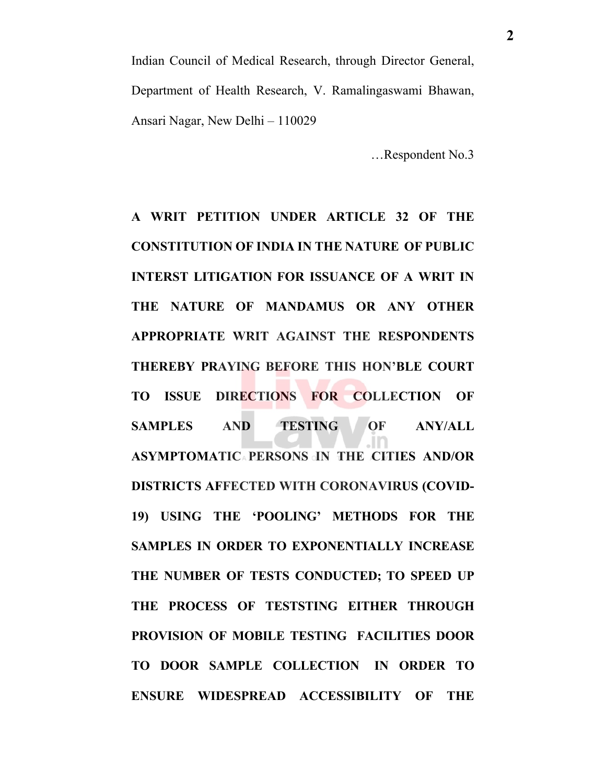Indian Council of Medical Research, through Director General, Department of Health Research, V. Ramalingaswami Bhawan, Ansari Nagar, New Delhi – 110029

…Respondent No.3

**A WRIT PETITION UNDER ARTICLE 32 OF THE CONSTITUTION OF INDIA IN THE NATURE OF PUBLIC INTERST LITIGATION FOR ISSUANCE OF A WRIT IN THE NATURE OF MANDAMUS OR ANY OTHER APPROPRIATE WRIT AGAINST THE RESPONDENTS THEREBY PRAYING BEFORE THIS HON'BLE COURT TO ISSUE DIRECTIONS FOR COLLECTION OF SAMPLES AND TESTING OF ANY/ALL ASYMPTOMATIC PERSONS IN THE CITIES AND/OR DISTRICTS AFFECTED WITH CORONAVIRUS (COVID-19) USING THE 'POOLING' METHODS FOR THE SAMPLES IN ORDER TO EXPONENTIALLY INCREASE THE NUMBER OF TESTS CONDUCTED; TO SPEED UP THE PROCESS OF TESTSTING EITHER THROUGH PROVISION OF MOBILE TESTING FACILITIES DOOR TO DOOR SAMPLE COLLECTION IN ORDER TO ENSURE WIDESPREAD ACCESSIBILITY OF THE**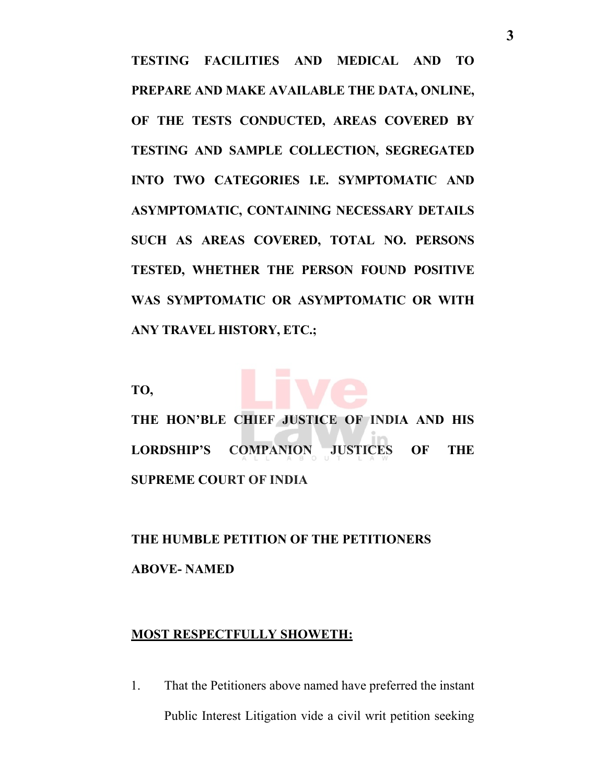**TESTING FACILITIES AND MEDICAL AND TO PREPARE AND MAKE AVAILABLE THE DATA, ONLINE, OF THE TESTS CONDUCTED, AREAS COVERED BY TESTING AND SAMPLE COLLECTION, SEGREGATED INTO TWO CATEGORIES I.E. SYMPTOMATIC AND ASYMPTOMATIC, CONTAINING NECESSARY DETAILS SUCH AS AREAS COVERED, TOTAL NO. PERSONS TESTED, WHETHER THE PERSON FOUND POSITIVE WAS SYMPTOMATIC OR ASYMPTOMATIC OR WITH ANY TRAVEL HISTORY, ETC.;**

**TO,**



**THE HON'BLE CHIEF JUSTICE OF INDIA AND HIS LORDSHIP'S COMPANION JUSTICES OF THE SUPREME COURT OF INDIA**

**THE HUMBLE PETITION OF THE PETITIONERS ABOVE- NAMED**

#### **MOST RESPECTFULLY SHOWETH:**

1. That the Petitioners above named have preferred the instant Public Interest Litigation vide a civil writ petition seeking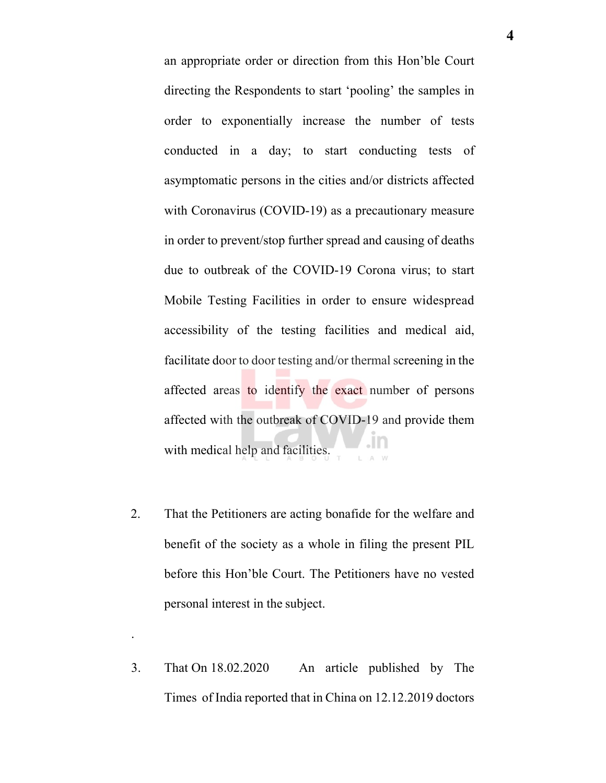an appropriate order or direction from this Hon'ble Court directing the Respondents to start 'pooling' the samples in order to exponentially increase the number of tests conducted in a day; to start conducting tests of asymptomatic persons in the cities and/or districts affected with Coronavirus (COVID-19) as a precautionary measure in order to prevent/stop further spread and causing of deaths due to outbreak of the COVID-19 Corona virus; to start Mobile Testing Facilities in order to ensure widespread accessibility of the testing facilities and medical aid, facilitate door to door testing and/or thermal screening in the affected areas to identify the exact number of persons affected with the outbreak of COVID-19 and provide them with medical help and facilities.

- 2. That the Petitioners are acting bonafide for the welfare and benefit of the society as a whole in filing the present PIL before this Hon'ble Court. The Petitioners have no vested personal interest in the subject.
- 3. That On 18.02.2020 An article published by The Times of India reported that in China on 12.12.2019 doctors

.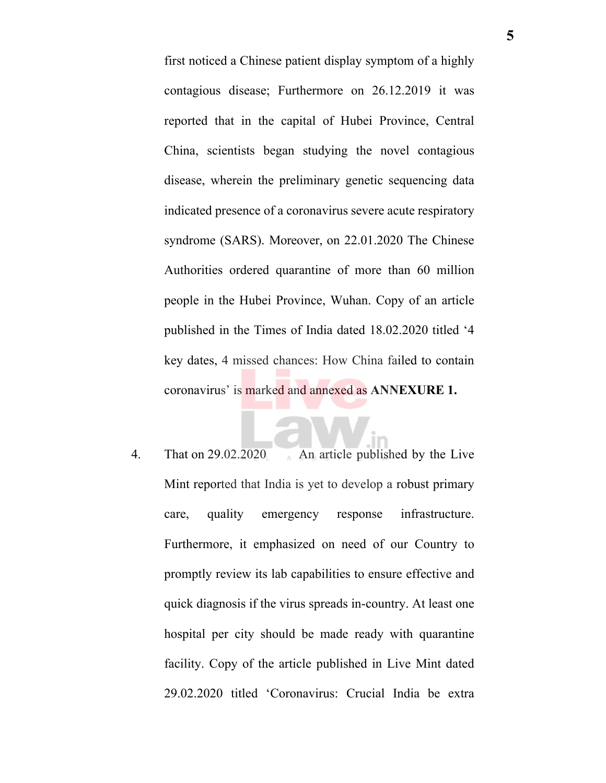first noticed a Chinese patient display symptom of a highly contagious disease; Furthermore on 26.12.2019 it was reported that in the capital of Hubei Province, Central China, scientists began studying the novel contagious disease, wherein the preliminary genetic sequencing data indicated presence of a coronavirus severe acute respiratory syndrome (SARS). Moreover, on 22.01.2020 The Chinese Authorities ordered quarantine of more than 60 million people in the Hubei Province, Wuhan. Copy of an article published in the Times of India dated 18.02.2020 titled '4 key dates, 4 missed chances: How China failed to contain coronavirus' is marked and annexed as **ANNEXURE 1.**

4. That on 29.02.2020 An article published by the Live Mint reported that India is yet to develop a robust primary care, quality emergency response infrastructure. Furthermore, it emphasized on need of our Country to promptly review its lab capabilities to ensure effective and quick diagnosis if the virus spreads in-country. At least one hospital per city should be made ready with quarantine facility. Copy of the article published in Live Mint dated 29.02.2020 titled 'Coronavirus: Crucial India be extra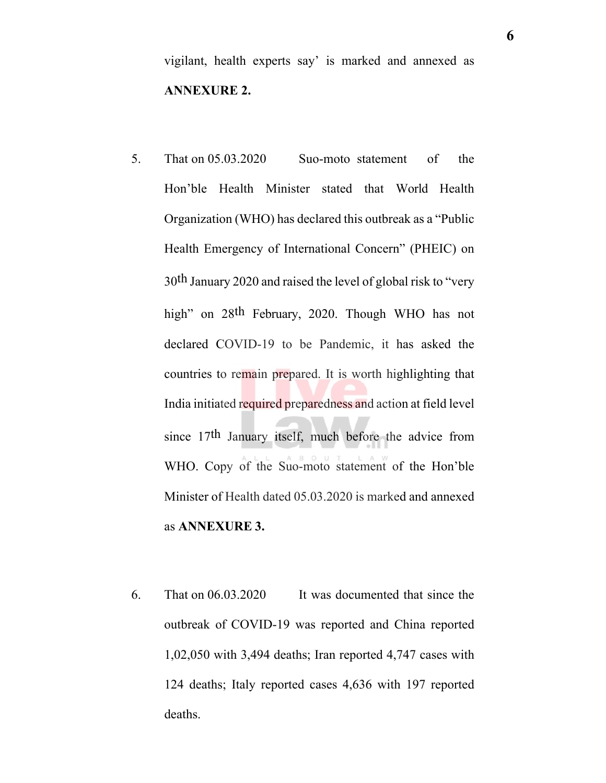vigilant, health experts say' is marked and annexed as **ANNEXURE 2.**

- 5. That on 05.03.2020 Suo-moto statement of the Hon'ble Health Minister stated that World Health Organization (WHO) has declared this outbreak as a "Public Health Emergency of International Concern" (PHEIC) on 30th January 2020 and raised the level of global risk to "very high" on 28<sup>th</sup> February, 2020. Though WHO has not declared COVID-19 to be Pandemic, it has asked the countries to remain prepared. It is worth highlighting that India initiated required preparedness and action at field level since 17th January itself, much before the advice from WHO. Copy of the Suo-moto statement of the Hon'ble Minister of Health dated 05.03.2020 is marked and annexed as **ANNEXURE 3.**
- 6. That on 06.03.2020 It was documented that since the outbreak of COVID-19 was reported and China reported 1,02,050 with 3,494 deaths; Iran reported 4,747 cases with 124 deaths; Italy reported cases 4,636 with 197 reported deaths.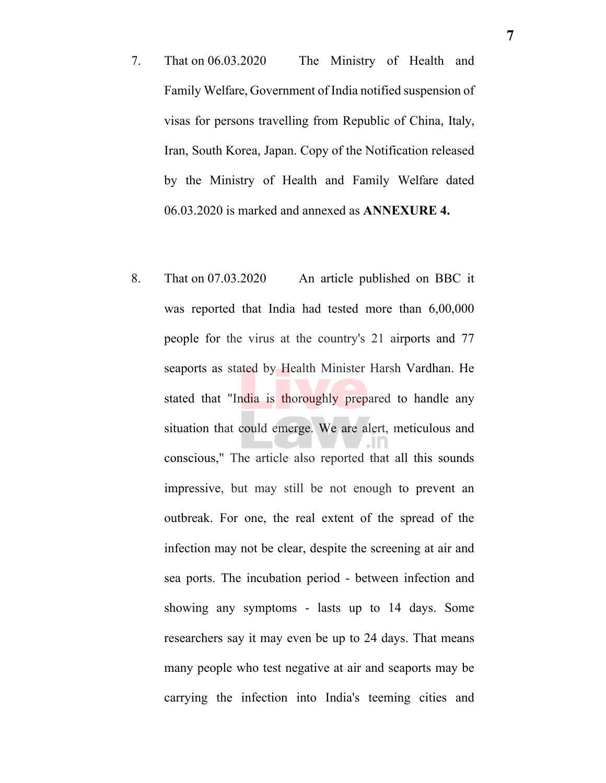- 7. That on 06.03.2020 The Ministry of Health and Family Welfare, Government of India notified suspension of visas for persons travelling from Republic of China, Italy, Iran, South Korea, Japan. Copy of the Notification released by the Ministry of Health and Family Welfare dated 06.03.2020 is marked and annexed as **ANNEXURE 4.**
- 8. That on 07.03.2020 An article published on BBC it was reported that India had tested more than 6,00,000 people for the virus at the country's 21 airports and 77 seaports as stated by Health Minister Harsh Vardhan. He stated that "India is thoroughly prepared to handle any situation that could emerge. We are alert, meticulous and conscious," The article also reported that all this sounds impressive, but may still be not enough to prevent an outbreak. For one, the real extent of the spread of the infection may not be clear, despite the screening at air and sea ports. The incubation period - between infection and showing any symptoms - lasts up to 14 days. Some researchers say it may even be up to 24 days. That means many people who test negative at air and seaports may be carrying the infection into India's teeming cities and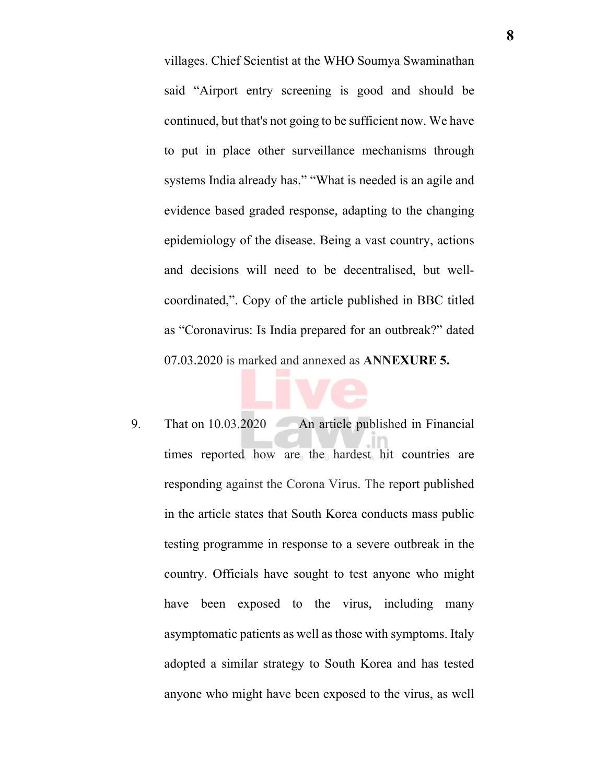villages. Chief Scientist at the WHO Soumya Swaminathan said "Airport entry screening is good and should be continued, but that's not going to be sufficient now. We have to put in place other surveillance mechanisms through systems India already has." "What is needed is an agile and evidence based graded response, adapting to the changing epidemiology of the disease. Being a vast country, actions and decisions will need to be decentralised, but wellcoordinated,". Copy of the article published in BBC titled as "Coronavirus: Is India prepared for an outbreak?" dated 07.03.2020 is marked and annexed as **ANNEXURE 5.**

9. That on 10.03.2020 An article published in Financial times reported how are the hardest hit countries are responding against the Corona Virus. The report published in the article states that South Korea conducts mass public testing programme in response to a severe outbreak in the country. Officials have sought to test anyone who might have been exposed to the virus, including many asymptomatic patients as well as those with symptoms. Italy adopted a similar strategy to South Korea and has tested anyone who might have been exposed to the virus, as well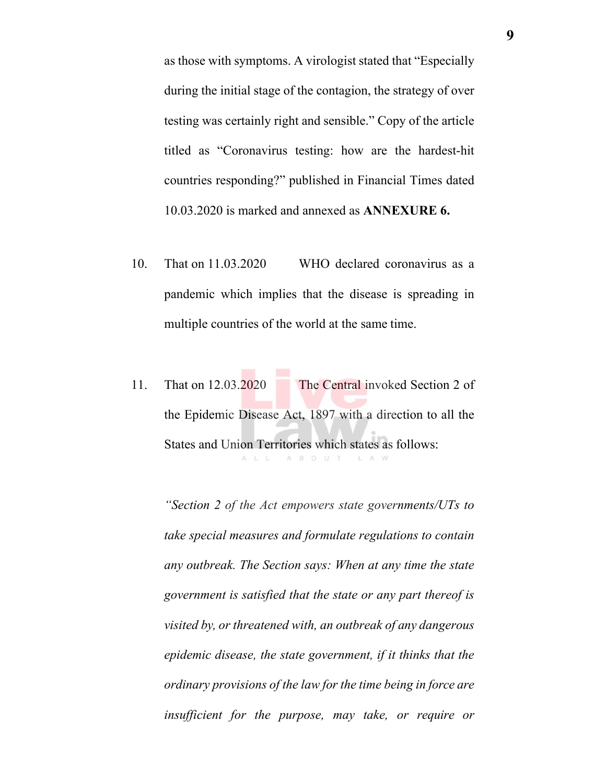as those with symptoms. A virologist stated that "Especially during the initial stage of the contagion, the strategy of over testing was certainly right and sensible." Copy of the article titled as "Coronavirus testing: how are the hardest-hit countries responding?" published in Financial Times dated 10.03.2020 is marked and annexed as **ANNEXURE 6.**

- 10. That on 11.03.2020 WHO declared coronavirus as a pandemic which implies that the disease is spreading in multiple countries of the world at the same time.
- 11. That on 12.03.2020 The Central invoked Section 2 of the Epidemic Disease Act, 1897 with a direction to all the States and Union Territories which states as follows: ALL ABOUT LAW

*"Section 2 of the Act empowers state governments/UTs to take special measures and formulate regulations to contain any outbreak. The Section says: When at any time the state government is satisfied that the state or any part thereof is visited by, or threatened with, an outbreak of any dangerous epidemic disease, the state government, if it thinks that the ordinary provisions of the law for the time being in force are insufficient for the purpose, may take, or require or*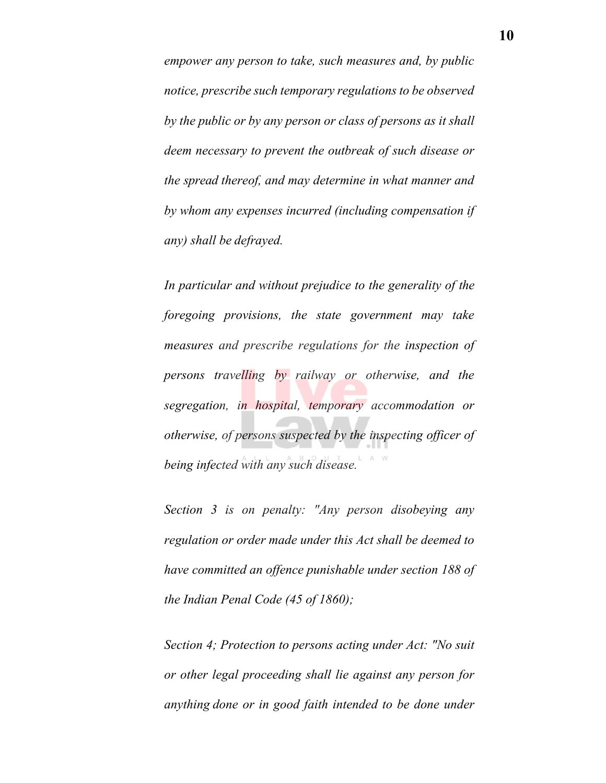*empower any person to take, such measures and, by public notice, prescribe such temporary regulations to be observed by the public or by any person or class of persons as it shall deem necessary to prevent the outbreak of such disease or the spread thereof, and may determine in what manner and by whom any expenses incurred (including compensation if any) shall be defrayed.* 

*In particular and without prejudice to the generality of the foregoing provisions, the state government may take measures and prescribe regulations for the inspection of persons travelling by railway or otherwise, and the segregation, in hospital, temporary accommodation or otherwise, of persons suspected by the inspecting officer of being infected with any such disease.*

*Section 3 is on penalty: "Any person disobeying any regulation or order made under this Act shall be deemed to have committed an offence punishable under section 188 of the Indian Penal Code (45 of 1860);*

*Section 4; Protection to persons acting under Act: "No suit or other legal proceeding shall lie against any person for anything done or in good faith intended to be done under*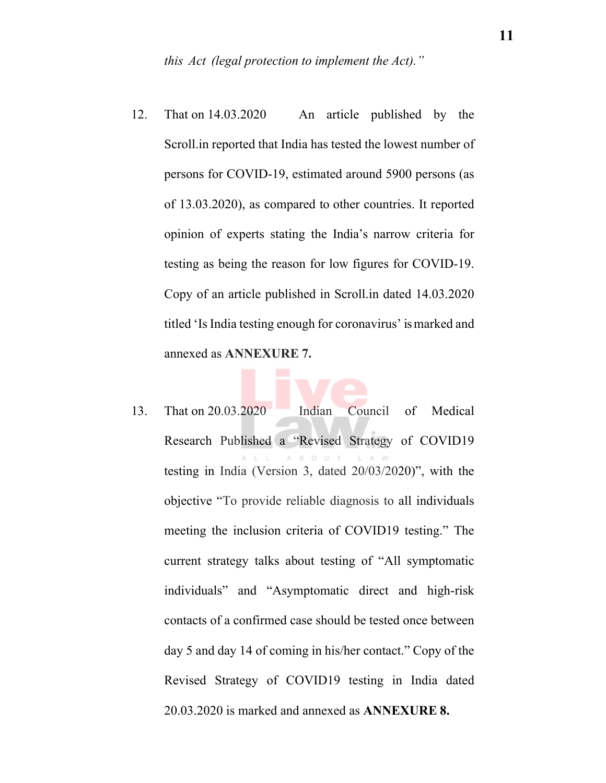- 12. That on 14.03.2020 An article published by the Scroll.in reported that India has tested the lowest number of persons for COVID-19, estimated around 5900 persons (as of 13.03.2020), as compared to other countries. It reported opinion of experts stating the India's narrow criteria for testing as being the reason for low figures for COVID-19. Copy of an article published in Scroll.in dated 14.03.2020 titled 'Is India testing enough for coronavirus' is marked and annexed as **ANNEXURE 7.**
- 13. That on 20.03.2020 Indian Council of Medical Research Published a "Revised Strategy of COVID19 testing in India (Version 3, dated 20/03/2020)", with the objective "To provide reliable diagnosis to all individuals meeting the inclusion criteria of COVID19 testing." The current strategy talks about testing of "All symptomatic individuals" and "Asymptomatic direct and high-risk contacts of a confirmed case should be tested once between day 5 and day 14 of coming in his/her contact." Copy of the Revised Strategy of COVID19 testing in India dated 20.03.2020 is marked and annexed as **ANNEXURE 8.**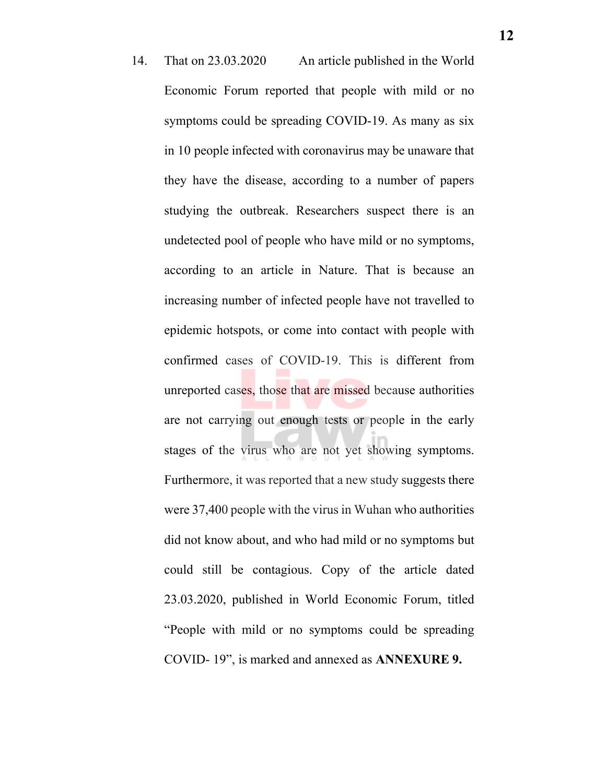14. That on 23.03.2020 An article published in the World Economic Forum reported that people with mild or no symptoms could be spreading COVID-19. As many as six in 10 people infected with coronavirus may be unaware that they have the disease, according to a number of papers studying the outbreak. Researchers suspect there is an undetected pool of people who have mild or no symptoms, according to an article in Nature. That is because an increasing number of infected people have not travelled to epidemic hotspots, or come into contact with people with confirmed cases of COVID-19. This is different from unreported cases, those that are missed because authorities are not carrying out enough tests or people in the early stages of the virus who are not yet showing symptoms. Furthermore, it was reported that a new study suggests there were 37,400 people with the virus in Wuhan who authorities did not know about, and who had mild or no symptoms but could still be contagious. Copy of the article dated 23.03.2020, published in World Economic Forum, titled "People with mild or no symptoms could be spreading COVID- 19", is marked and annexed as **ANNEXURE 9.**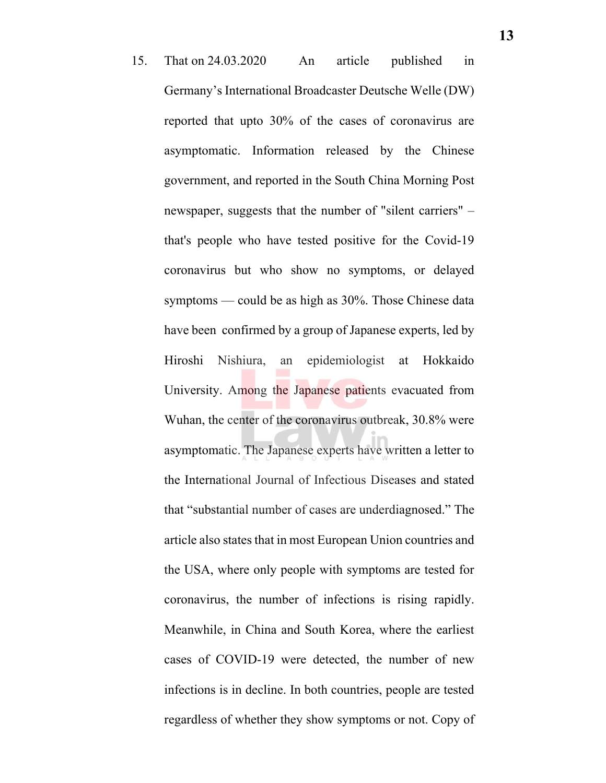15. That on 24.03.2020 An article published in Germany's International Broadcaster Deutsche Welle (DW) reported that upto 30% of the cases of coronavirus are asymptomatic. Information released by the Chinese government, and reported in the South China Morning Post newspaper, suggests that the number of "silent carriers" – that's people who have tested positive for the Covid-19 coronavirus but who show no symptoms, or delayed symptoms — could be as high as 30%. Those Chinese data have been confirmed by a group of Japanese experts, led by Hiroshi Nishiura, an epidemiologist at Hokkaido University. Among the Japanese patients evacuated from Wuhan, the center of the coronavirus outbreak, 30.8% were asymptomatic. The Japanese experts have written a letter to the International Journal of Infectious Diseases and stated that "substantial number of cases are underdiagnosed." The article also states that in most European Union countries and the USA, where only people with symptoms are tested for coronavirus, the number of infections is rising rapidly. Meanwhile, in China and South Korea, where the earliest cases of COVID-19 were detected, the number of new infections is in decline. In both countries, people are tested regardless of whether they show symptoms or not. Copy of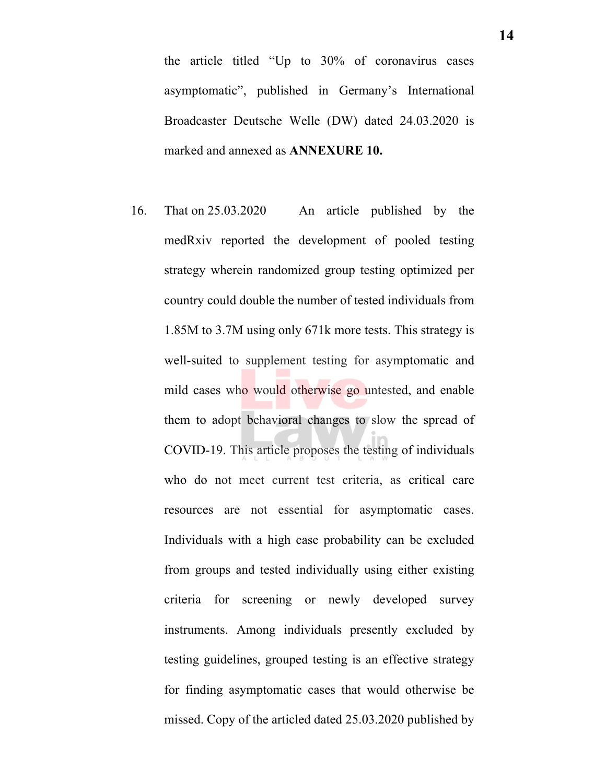the article titled "Up to 30% of coronavirus cases asymptomatic", published in Germany's International Broadcaster Deutsche Welle (DW) dated 24.03.2020 is marked and annexed as **ANNEXURE 10.**

16. That on 25.03.2020 An article published by the medRxiv reported the development of pooled testing strategy wherein randomized group testing optimized per country could double the number of tested individuals from 1.85M to 3.7M using only 671k more tests. This strategy is well-suited to supplement testing for asymptomatic and mild cases who would otherwise go untested, and enable them to adopt behavioral changes to slow the spread of COVID-19. This article proposes the testing of individuals who do not meet current test criteria, as critical care resources are not essential for asymptomatic cases. Individuals with a high case probability can be excluded from groups and tested individually using either existing criteria for screening or newly developed survey instruments. Among individuals presently excluded by testing guidelines, grouped testing is an effective strategy for finding asymptomatic cases that would otherwise be missed. Copy of the articled dated 25.03.2020 published by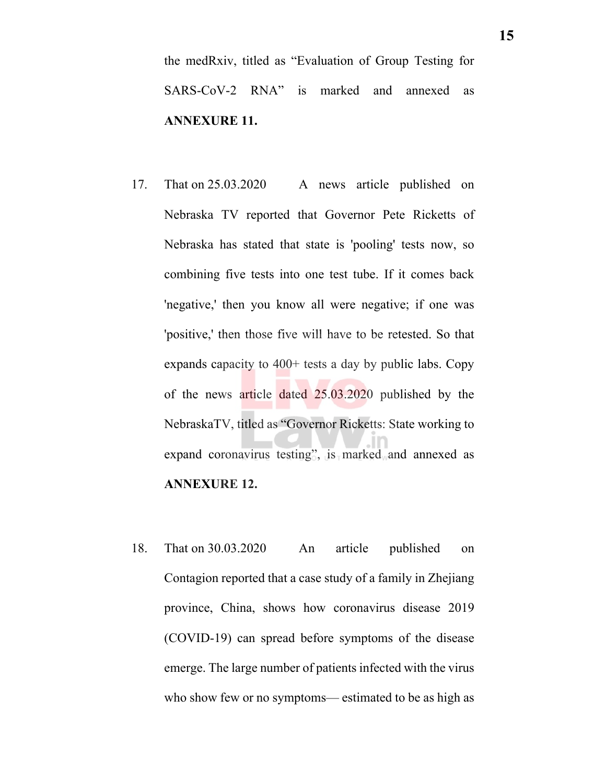the medRxiv, titled as "Evaluation of Group Testing for SARS-CoV-2 RNA" is marked and annexed as **ANNEXURE 11.** 

- 17. That on 25.03.2020 A news article published on Nebraska TV reported that Governor Pete Ricketts of Nebraska has stated that state is 'pooling' tests now, so combining five tests into one test tube. If it comes back 'negative,' then you know all were negative; if one was 'positive,' then those five will have to be retested. So that expands capacity to 400+ tests a day by public labs. Copy of the news article dated 25.03.2020 published by the NebraskaTV, titled as "Governor Ricketts: State working to expand coronavirus testing", is marked and annexed as **ANNEXURE 12.**
- 18. That on 30.03.2020 An article published on Contagion reported that a case study of a family in Zhejiang province, China, shows how coronavirus disease 2019 (COVID-19) can spread before symptoms of the disease emerge. The large number of patients infected with the virus who show few or no symptoms— estimated to be as high as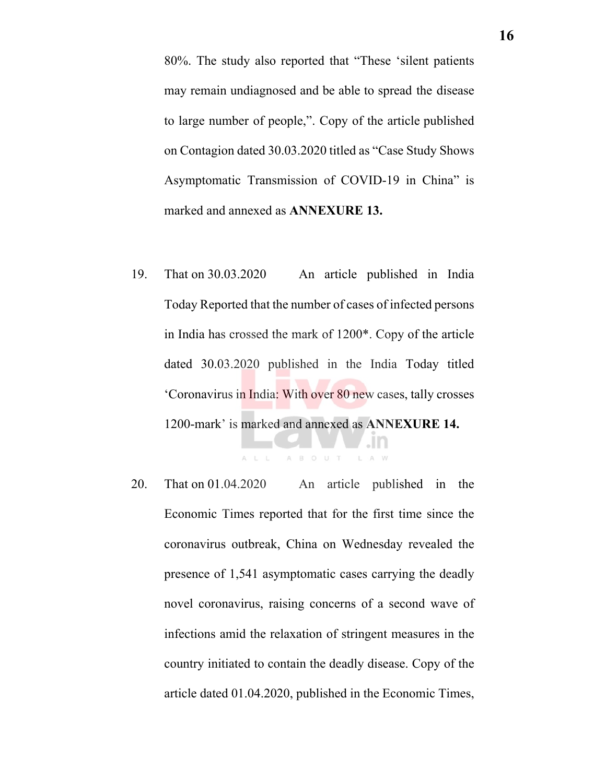80%. The study also reported that "These 'silent patients may remain undiagnosed and be able to spread the disease to large number of people,". Copy of the article published on Contagion dated 30.03.2020 titled as "Case Study Shows Asymptomatic Transmission of COVID-19 in China" is marked and annexed as **ANNEXURE 13.** 

19. That on 30.03.2020 An article published in India Today Reported that the number of cases of infected persons in India has crossed the mark of 1200\*. Copy of the article dated 30.03.2020 published in the India Today titled 'Coronavirus in India: With over 80 new cases, tally crosses 1200-mark' is marked and annexed as **ANNEXURE 14.** 

ALL ABOUT

20. That on 01.04.2020 An article published in the Economic Times reported that for the first time since the coronavirus outbreak, China on Wednesday revealed the presence of 1,541 asymptomatic cases carrying the deadly novel coronavirus, raising concerns of a second wave of infections amid the relaxation of stringent measures in the country initiated to contain the deadly disease. Copy of the article dated 01.04.2020, published in the Economic Times,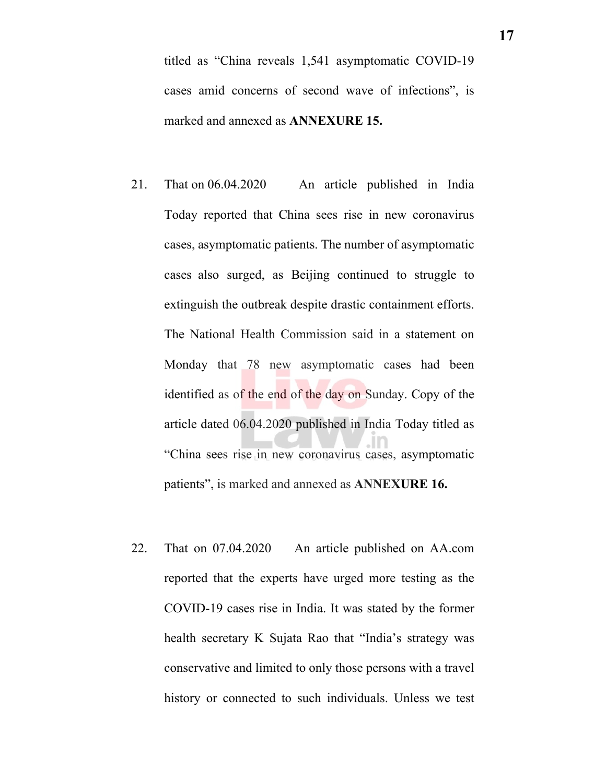titled as "China reveals 1,541 asymptomatic COVID-19 cases amid concerns of second wave of infections", is marked and annexed as **ANNEXURE 15.** 

- 21. That on 06.04.2020 An article published in India Today reported that China sees rise in new coronavirus cases, asymptomatic patients. The number of asymptomatic cases also surged, as Beijing continued to struggle to extinguish the outbreak despite drastic containment efforts. The National Health Commission said in a statement on Monday that 78 new asymptomatic cases had been identified as of the end of the day on Sunday. Copy of the article dated 06.04.2020 published in India Today titled as "China sees rise in new coronavirus cases, asymptomatic patients", is marked and annexed as **ANNEXURE 16.**
- 22. That on 07.04.2020 An article published on AA.com reported that the experts have urged more testing as the COVID-19 cases rise in India. It was stated by the former health secretary K Sujata Rao that "India's strategy was conservative and limited to only those persons with a travel history or connected to such individuals. Unless we test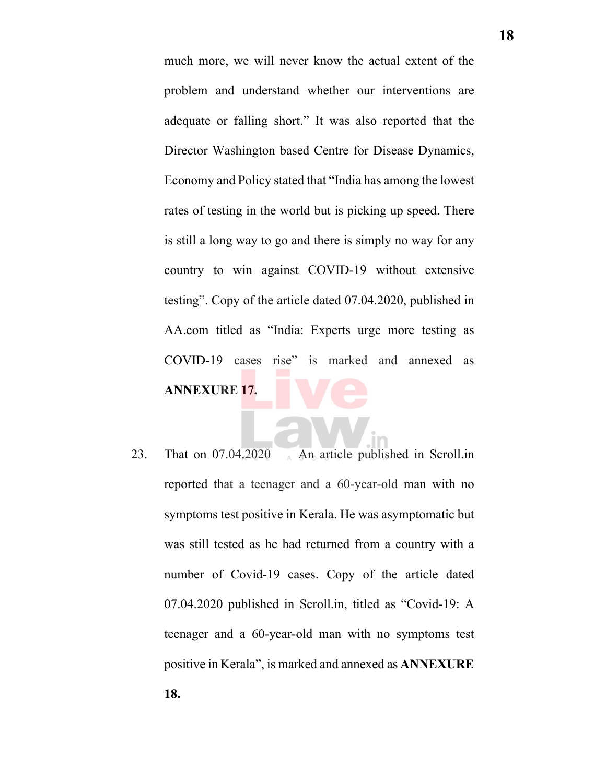much more, we will never know the actual extent of the problem and understand whether our interventions are adequate or falling short." It was also reported that the Director Washington based Centre for Disease Dynamics, Economy and Policy stated that "India has among the lowest rates of testing in the world but is picking up speed. There is still a long way to go and there is simply no way for any country to win against COVID-19 without extensive testing". Copy of the article dated 07.04.2020, published in AA.com titled as "India: Experts urge more testing as COVID-19 cases rise" is marked and annexed as **ANNEXURE 17.** 

23. That on 07.04.2020 An article published in Scroll.in reported that a teenager and a 60-year-old man with no symptoms test positive in Kerala. He was asymptomatic but was still tested as he had returned from a country with a number of Covid-19 cases. Copy of the article dated 07.04.2020 published in Scroll.in, titled as "Covid-19: A teenager and a 60-year-old man with no symptoms test positive in Kerala", is marked and annexed as **ANNEXURE 18.**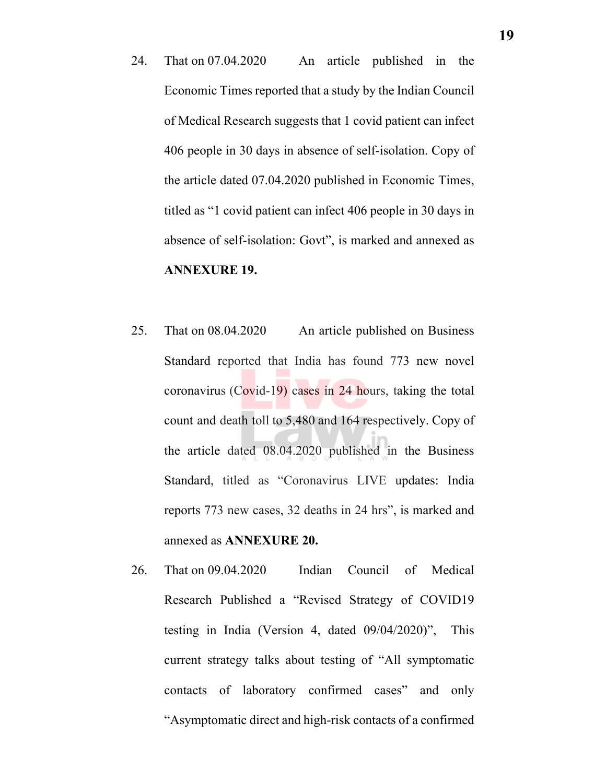- 24. That on 07.04.2020 An article published in the Economic Times reported that a study by the Indian Council of Medical Research suggests that 1 covid patient can infect 406 people in 30 days in absence of self-isolation. Copy of the article dated 07.04.2020 published in Economic Times, titled as "1 covid patient can infect 406 people in 30 days in absence of self-isolation: Govt", is marked and annexed as **ANNEXURE 19.**
- 25. That on 08.04.2020 An article published on Business Standard reported that India has found 773 new novel coronavirus (Covid-19) cases in 24 hours, taking the total count and death toll to 5,480 and 164 respectively. Copy of the article dated 08.04.2020 published in the Business Standard, titled as "Coronavirus LIVE updates: India reports 773 new cases, 32 deaths in 24 hrs", is marked and annexed as **ANNEXURE 20.**
- 26. That on 09.04.2020 Indian Council of Medical Research Published a "Revised Strategy of COVID19 testing in India (Version 4, dated 09/04/2020)", This current strategy talks about testing of "All symptomatic contacts of laboratory confirmed cases" and only "Asymptomatic direct and high-risk contacts of a confirmed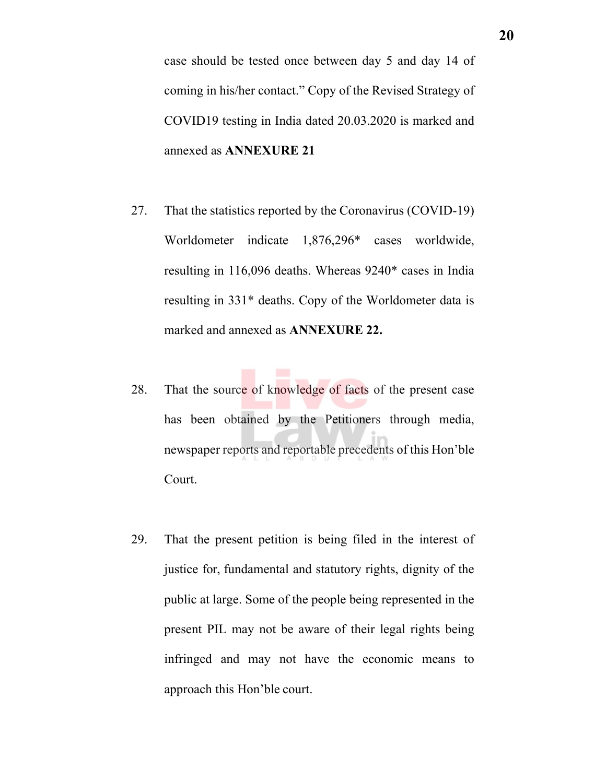case should be tested once between day 5 and day 14 of coming in his/her contact." Copy of the Revised Strategy of COVID19 testing in India dated 20.03.2020 is marked and annexed as **ANNEXURE 21**

- 27. That the statistics reported by the Coronavirus (COVID-19) Worldometer indicate 1,876,296\* cases worldwide, resulting in 116,096 deaths. Whereas 9240\* cases in India resulting in 331\* deaths. Copy of the Worldometer data is marked and annexed as **ANNEXURE 22.**
- 28. That the source of knowledge of facts of the present case has been obtained by the Petitioners through media, newspaper reports and reportable precedents of this Hon'ble Court.
- 29. That the present petition is being filed in the interest of justice for, fundamental and statutory rights, dignity of the public at large. Some of the people being represented in the present PIL may not be aware of their legal rights being infringed and may not have the economic means to approach this Hon'ble court.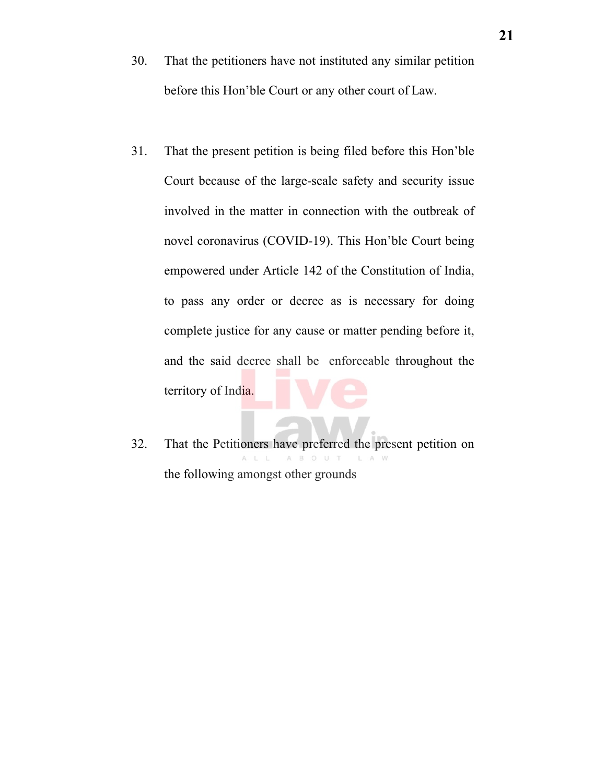- 30. That the petitioners have not instituted any similar petition before this Hon'ble Court or any other court of Law.
- 31. That the present petition is being filed before this Hon'ble Court because of the large-scale safety and security issue involved in the matter in connection with the outbreak of novel coronavirus (COVID-19). This Hon'ble Court being empowered under Article 142 of the Constitution of India, to pass any order or decree as is necessary for doing complete justice for any cause or matter pending before it, and the said decree shall be enforceable throughout the territory of India.
- 32. That the Petitioners have preferred the present petition on L A W the following amongst other grounds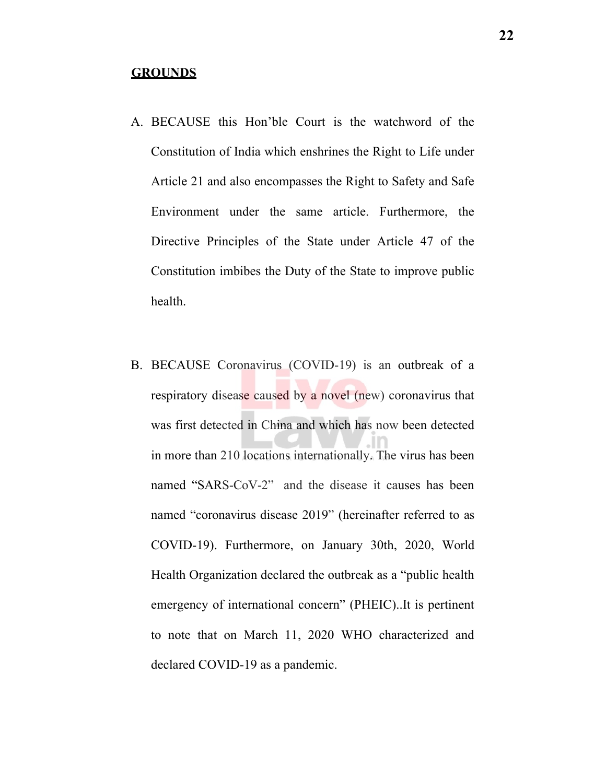#### **GROUNDS**

- A. BECAUSE this Hon'ble Court is the watchword of the Constitution of India which enshrines the Right to Life under Article 21 and also encompasses the Right to Safety and Safe Environment under the same article. Furthermore, the Directive Principles of the State under Article 47 of the Constitution imbibes the Duty of the State to improve public health.
- B. BECAUSE Coronavirus (COVID-19) is an outbreak of a respiratory disease caused by a novel (new) coronavirus that was first detected in China and which has now been detected in more than 210 locations internationally. The virus has been named "SARS-CoV-2" and the disease it causes has been named "coronavirus disease 2019" (hereinafter referred to as COVID-19). Furthermore, on January 30th, 2020, World Health Organization declared the outbreak as a "public health emergency of international concern" (PHEIC)..It is pertinent to note that on March 11, 2020 WHO characterized and declared COVID-19 as a pandemic.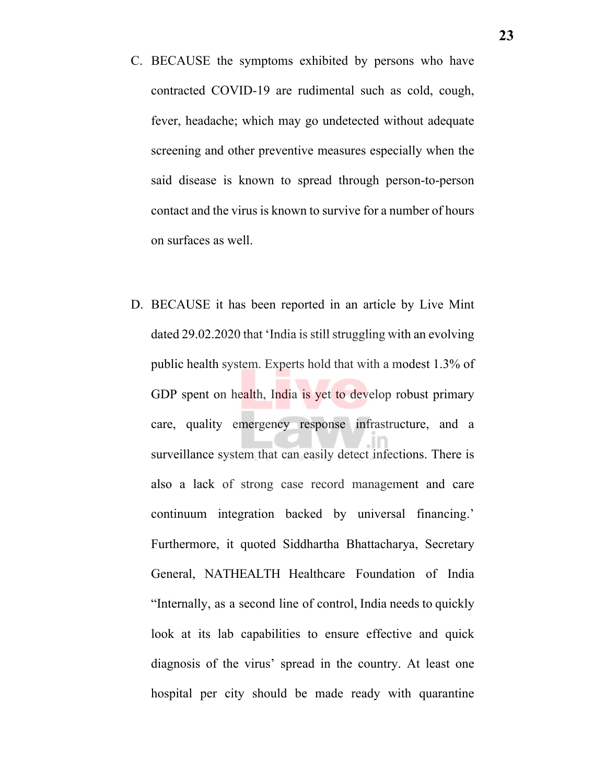- C. BECAUSE the symptoms exhibited by persons who have contracted COVID-19 are rudimental such as cold, cough, fever, headache; which may go undetected without adequate screening and other preventive measures especially when the said disease is known to spread through person-to-person contact and the virus is known to survive for a number of hours on surfaces as well.
- D. BECAUSE it has been reported in an article by Live Mint dated 29.02.2020 that 'India is still struggling with an evolving public health system. Experts hold that with a modest 1.3% of GDP spent on health, India is yet to develop robust primary care, quality emergency response infrastructure, and a surveillance system that can easily detect infections. There is also a lack of strong case record management and care continuum integration backed by universal financing.' Furthermore, it quoted Siddhartha Bhattacharya, Secretary General, NATHEALTH Healthcare Foundation of India "Internally, as a second line of control, India needs to quickly look at its lab capabilities to ensure effective and quick diagnosis of the virus' spread in the country. At least one hospital per city should be made ready with quarantine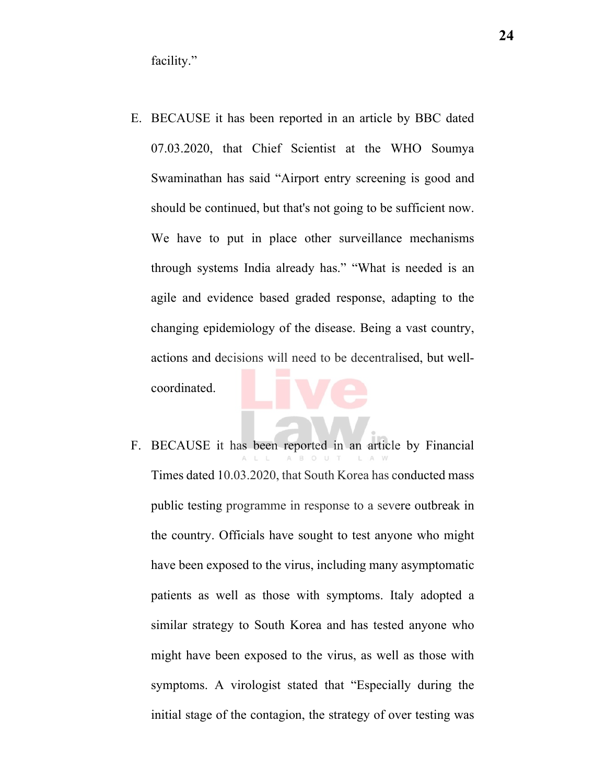facility."

- E. BECAUSE it has been reported in an article by BBC dated 07.03.2020, that Chief Scientist at the WHO Soumya Swaminathan has said "Airport entry screening is good and should be continued, but that's not going to be sufficient now. We have to put in place other surveillance mechanisms through systems India already has." "What is needed is an agile and evidence based graded response, adapting to the changing epidemiology of the disease. Being a vast country, actions and decisions will need to be decentralised, but wellcoordinated.
- F. BECAUSE it has been reported in an article by Financial Times dated 10.03.2020, that South Korea has conducted mass public testing programme in response to a severe outbreak in the country. Officials have sought to test anyone who might have been exposed to the virus, including many asymptomatic patients as well as those with symptoms. Italy adopted a similar strategy to South Korea and has tested anyone who might have been exposed to the virus, as well as those with symptoms. A virologist stated that "Especially during the initial stage of the contagion, the strategy of over testing was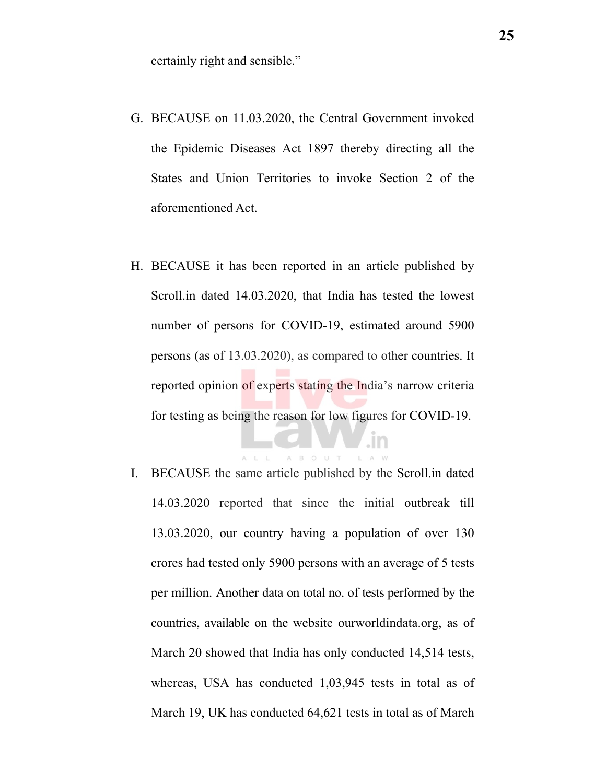certainly right and sensible."

- G. BECAUSE on 11.03.2020, the Central Government invoked the Epidemic Diseases Act 1897 thereby directing all the States and Union Territories to invoke Section 2 of the aforementioned Act.
- H. BECAUSE it has been reported in an article published by Scroll.in dated 14.03.2020, that India has tested the lowest number of persons for COVID-19, estimated around 5900 persons (as of 13.03.2020), as compared to other countries. It reported opinion of experts stating the India's narrow criteria for testing as being the reason for low figures for COVID-19.

I. BECAUSE the same article published by the Scroll.in dated 14.03.2020 reported that since the initial outbreak till 13.03.2020, our country having a population of over 130 crores had tested only 5900 persons with an average of 5 tests per million. Another data on total no. of tests performed by the countries, available on the website ourworldindata.org, as of March 20 showed that India has only conducted 14,514 tests, whereas, USA has conducted 1,03,945 tests in total as of March 19, UK has conducted 64,621 tests in total as of March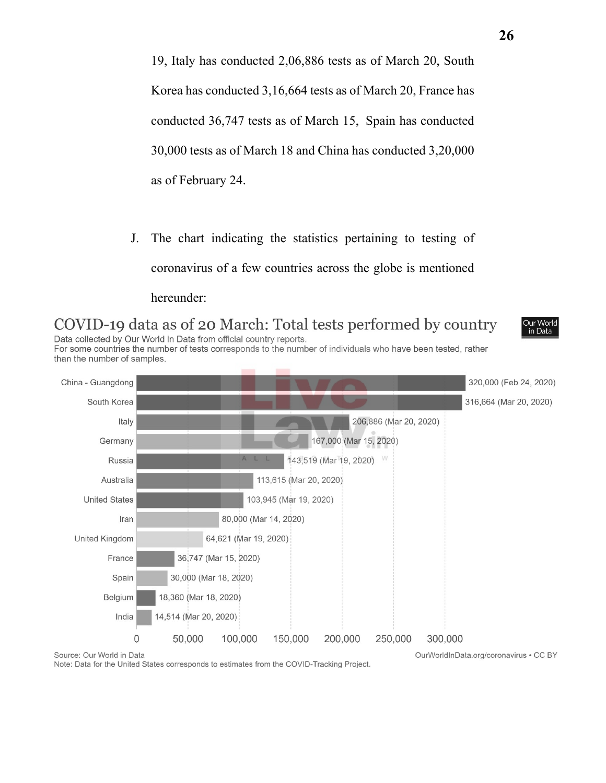19, Italy has conducted 2,06,886 tests as of March 20, South Korea has conducted 3,16,664 tests as of March 20, France has conducted 36,747 tests as of March 15, Spain has conducted 30,000 tests as of March 18 and China has conducted 3,20,000 as of February 24.

J. The chart indicating the statistics pertaining to testing of coronavirus of a few countries across the globe is mentioned hereunder:

COVID-19 data as of 20 March: Total tests performed by country Data collected by Our World in Data from official country reports.



For some countries the number of tests corresponds to the number of individuals who have been tested, rather than the number of samples.



Note: Data for the United States corresponds to estimates from the COVID-Tracking Project.

OurWorldInData.org/coronavirus . CC BY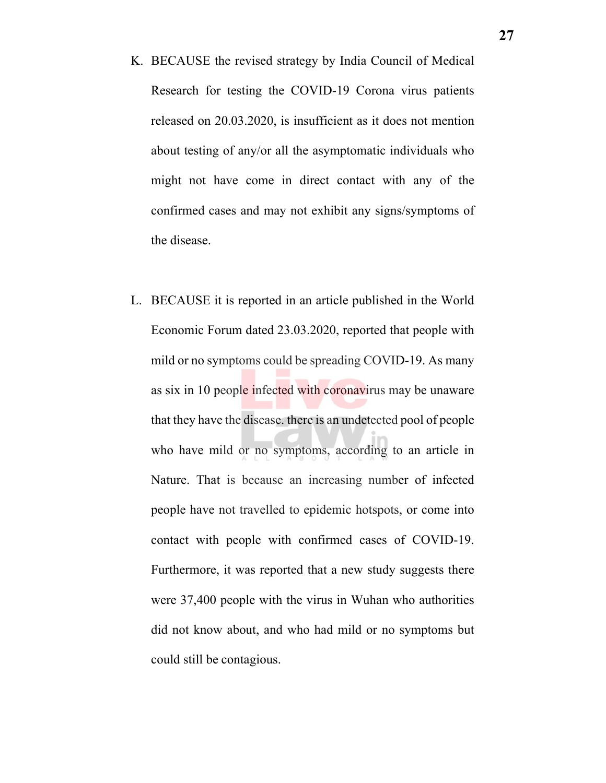- K. BECAUSE the revised strategy by India Council of Medical Research for testing the COVID-19 Corona virus patients released on 20.03.2020, is insufficient as it does not mention about testing of any/or all the asymptomatic individuals who might not have come in direct contact with any of the confirmed cases and may not exhibit any signs/symptoms of the disease.
- L. BECAUSE it is reported in an article published in the World Economic Forum dated 23.03.2020, reported that people with mild or no symptoms could be spreading COVID-19. As many as six in 10 people infected with coronavirus may be unaware that they have the disease. there is an undetected pool of people who have mild or no symptoms, according to an article in Nature. That is because an increasing number of infected people have not travelled to epidemic hotspots, or come into contact with people with confirmed cases of COVID-19. Furthermore, it was reported that a new study suggests there were 37,400 people with the virus in Wuhan who authorities did not know about, and who had mild or no symptoms but could still be contagious.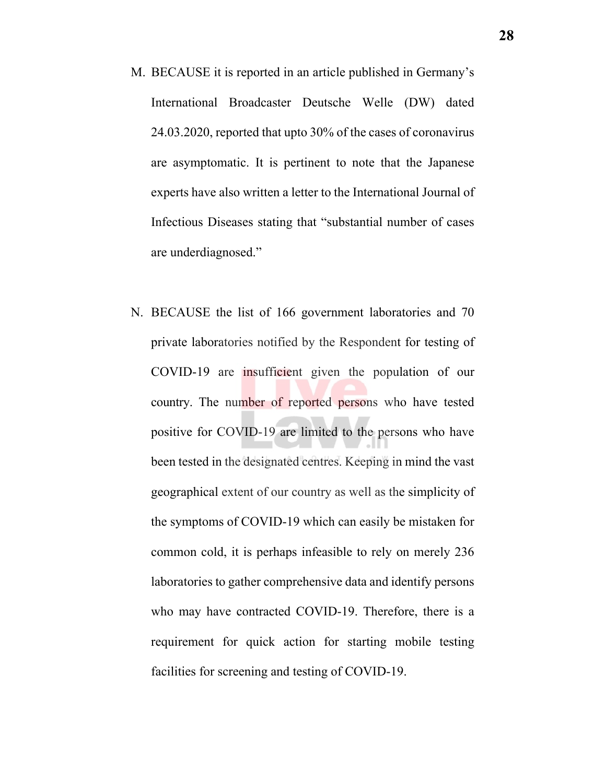- M. BECAUSE it is reported in an article published in Germany's International Broadcaster Deutsche Welle (DW) dated 24.03.2020, reported that upto 30% of the cases of coronavirus are asymptomatic. It is pertinent to note that the Japanese experts have also written a letter to the International Journal of Infectious Diseases stating that "substantial number of cases are underdiagnosed."
- N. BECAUSE the list of 166 government laboratories and 70 private laboratories notified by the Respondent for testing of COVID-19 are insufficient given the population of our country. The number of reported persons who have tested positive for COVID-19 are limited to the persons who have been tested in the designated centres. Keeping in mind the vast geographical extent of our country as well as the simplicity of the symptoms of COVID-19 which can easily be mistaken for common cold, it is perhaps infeasible to rely on merely 236 laboratories to gather comprehensive data and identify persons who may have contracted COVID-19. Therefore, there is a requirement for quick action for starting mobile testing facilities for screening and testing of COVID-19.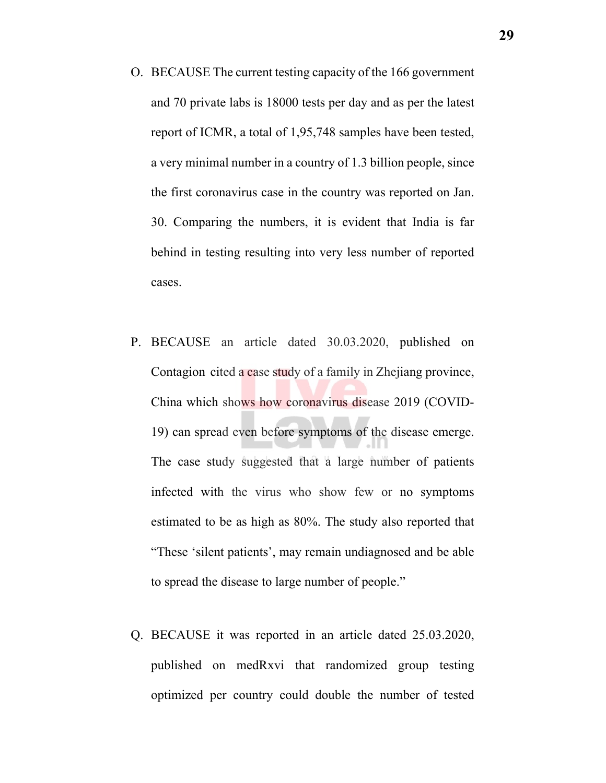- O. BECAUSE The current testing capacity of the 166 government and 70 private labs is 18000 tests per day and as per the latest report of ICMR, a total of 1,95,748 samples have been tested, a very minimal number in a country of 1.3 billion people, since the first coronavirus case in the country was reported on Jan. 30. Comparing the numbers, it is evident that India is far behind in testing resulting into very less number of reported cases.
- P. BECAUSE an article dated 30.03.2020, published on Contagion cited a case study of a family in Zhejiang province, China which shows how coronavirus disease 2019 (COVID-19) can spread even before symptoms of the disease emerge. The case study suggested that a large number of patients infected with the virus who show few or no symptoms estimated to be as high as 80%. The study also reported that "These 'silent patients', may remain undiagnosed and be able to spread the disease to large number of people."
- Q. BECAUSE it was reported in an article dated 25.03.2020, published on medRxvi that randomized group testing optimized per country could double the number of tested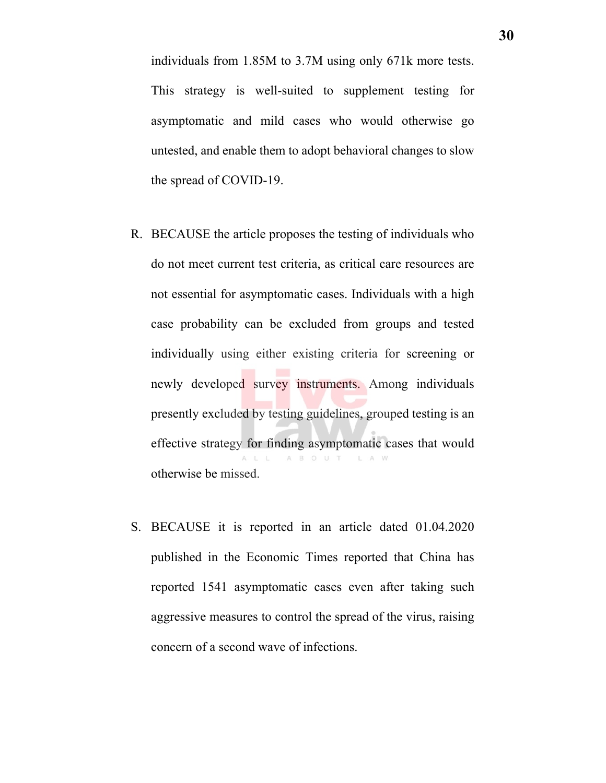individuals from 1.85M to 3.7M using only 671k more tests. This strategy is well-suited to supplement testing for asymptomatic and mild cases who would otherwise go untested, and enable them to adopt behavioral changes to slow the spread of COVID-19.

- R. BECAUSE the article proposes the testing of individuals who do not meet current test criteria, as critical care resources are not essential for asymptomatic cases. Individuals with a high case probability can be excluded from groups and tested individually using either existing criteria for screening or newly developed survey instruments. Among individuals presently excluded by testing guidelines, grouped testing is an effective strategy for finding asymptomatic cases that would A B O U T otherwise be missed.
- S. BECAUSE it is reported in an article dated 01.04.2020 published in the Economic Times reported that China has reported 1541 asymptomatic cases even after taking such aggressive measures to control the spread of the virus, raising concern of a second wave of infections.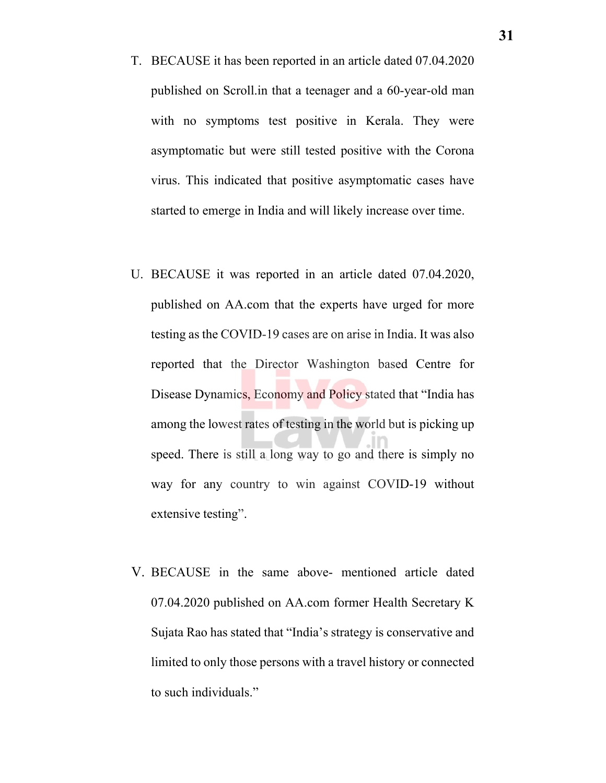- T. BECAUSE it has been reported in an article dated 07.04.2020 published on Scroll.in that a teenager and a 60-year-old man with no symptoms test positive in Kerala. They were asymptomatic but were still tested positive with the Corona virus. This indicated that positive asymptomatic cases have started to emerge in India and will likely increase over time.
- U. BECAUSE it was reported in an article dated 07.04.2020, published on AA.com that the experts have urged for more testing as the COVID-19 cases are on arise in India. It was also reported that the Director Washington based Centre for Disease Dynamics, Economy and Policy stated that "India has among the lowest rates of testing in the world but is picking up speed. There is still a long way to go and there is simply no way for any country to win against COVID-19 without extensive testing".
- V. BECAUSE in the same above- mentioned article dated 07.04.2020 published on AA.com former Health Secretary K Sujata Rao has stated that "India's strategy is conservative and limited to only those persons with a travel history or connected to such individuals."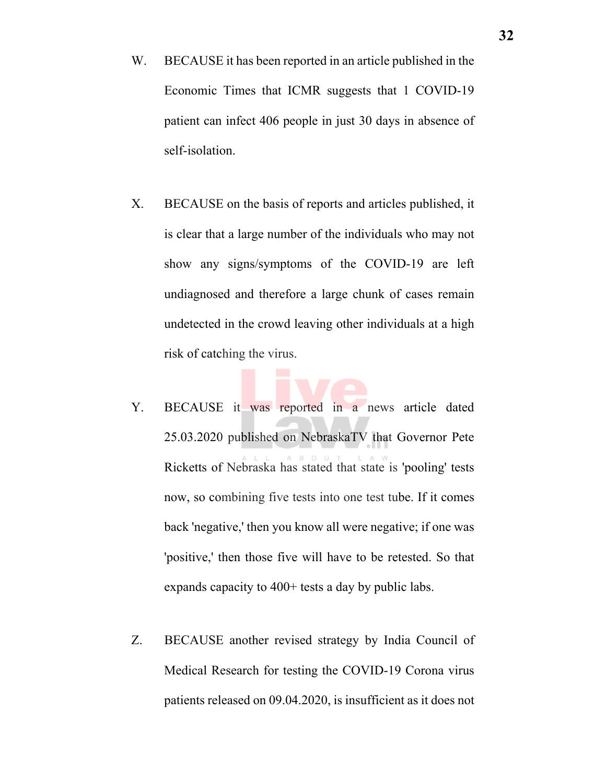- W. BECAUSE it has been reported in an article published in the Economic Times that ICMR suggests that 1 COVID-19 patient can infect 406 people in just 30 days in absence of self-isolation.
- X. BECAUSE on the basis of reports and articles published, it is clear that a large number of the individuals who may not show any signs/symptoms of the COVID-19 are left undiagnosed and therefore a large chunk of cases remain undetected in the crowd leaving other individuals at a high risk of catching the virus.
- Y. BECAUSE it was reported in a news article dated 25.03.2020 published on NebraskaTV that Governor Pete Ricketts of Nebraska has stated that state is 'pooling' tests now, so combining five tests into one test tube. If it comes back 'negative,' then you know all were negative; if one was 'positive,' then those five will have to be retested. So that expands capacity to 400+ tests a day by public labs.
- Z. BECAUSE another revised strategy by India Council of Medical Research for testing the COVID-19 Corona virus patients released on 09.04.2020, is insufficient as it does not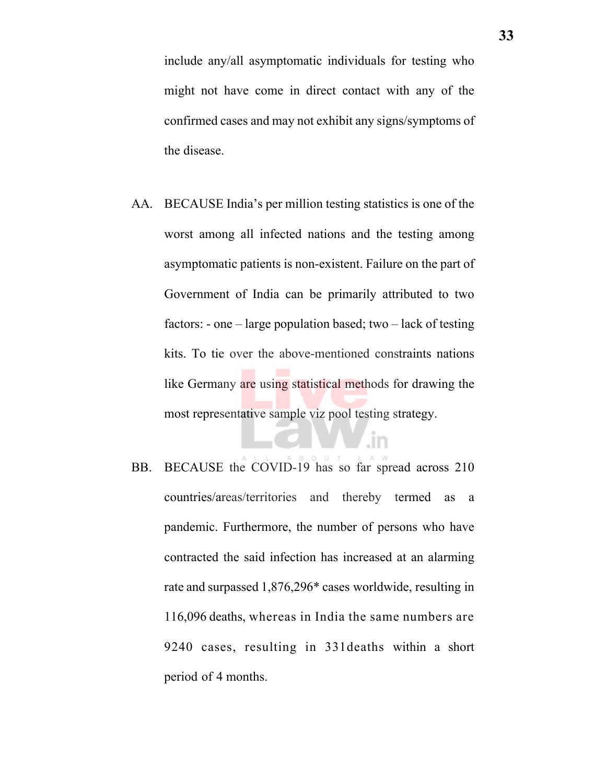include any/all asymptomatic individuals for testing who might not have come in direct contact with any of the confirmed cases and may not exhibit any signs/symptoms of the disease.

- AA. BECAUSE India's per million testing statistics is one of the worst among all infected nations and the testing among asymptomatic patients is non-existent. Failure on the part of Government of India can be primarily attributed to two factors: - one – large population based; two – lack of testing kits. To tie over the above-mentioned constraints nations like Germany are using statistical methods for drawing the most representative sample viz pool testing strategy.
- BB. BECAUSE the COVID-19 has so far spread across 210 countries/areas/territories and thereby termed as a pandemic. Furthermore, the number of persons who have contracted the said infection has increased at an alarming rate and surpassed 1,876,296\* cases worldwide, resulting in 116,096 deaths, whereas in India the same numbers are 9240 cases, resulting in 331deaths within a short period of 4 months.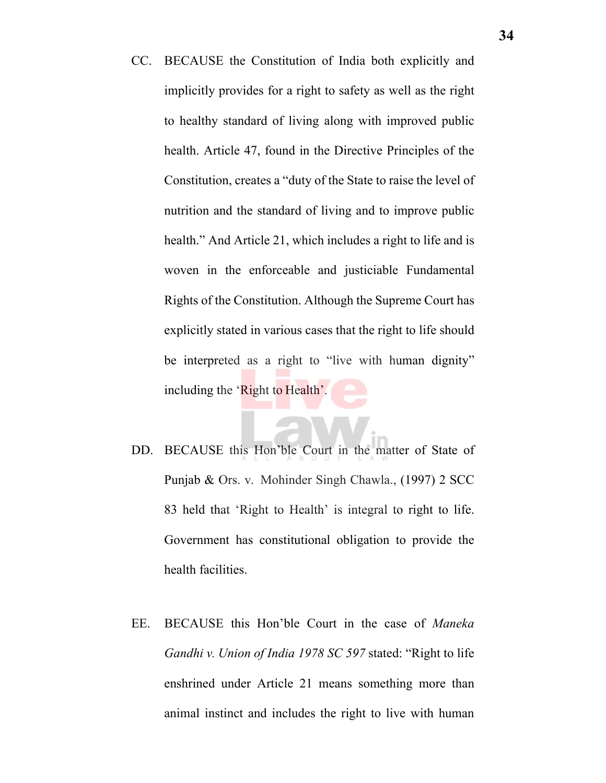- CC. BECAUSE the Constitution of India both explicitly and implicitly provides for a right to safety as well as the right to healthy standard of living along with improved public health. Article 47, found in the Directive Principles of the Constitution, creates a "duty of the State to raise the level of nutrition and the standard of living and to improve public health." And Article 21, which includes a right to life and is woven in the enforceable and justiciable Fundamental Rights of the Constitution. Although the Supreme Court has explicitly stated in various cases that the right to life should be interpreted as a right to "live with human dignity" including the 'Right to Health'.
- DD. BECAUSE this Hon'ble Court in the matter of State of Punjab & Ors. v. Mohinder Singh Chawla., (1997) 2 SCC 83 held that 'Right to Health' is integral to right to life. Government has constitutional obligation to provide the health facilities.
- EE. BECAUSE this Hon'ble Court in the case of *Maneka Gandhi v. Union of India 1978 SC 597* stated: "Right to life enshrined under Article 21 means something more than animal instinct and includes the right to live with human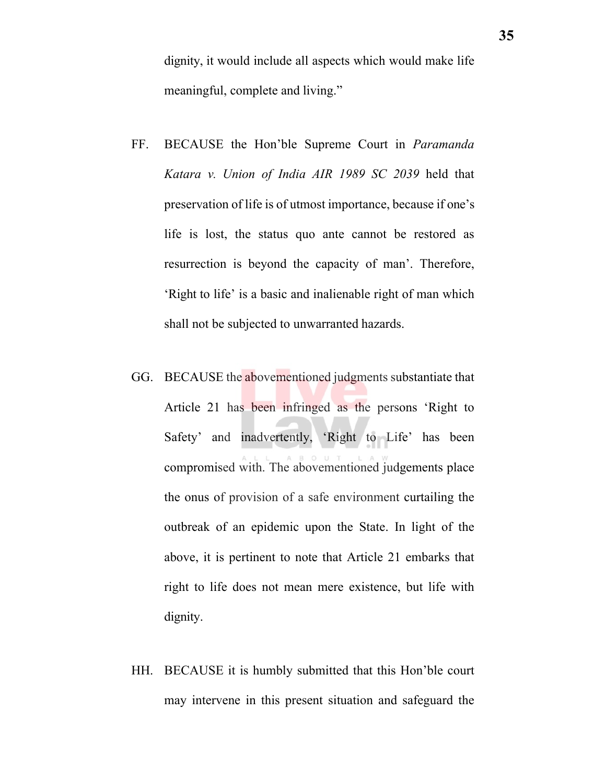dignity, it would include all aspects which would make life meaningful, complete and living."

- FF. BECAUSE the Hon'ble Supreme Court in *Paramanda Katara v. Union of India AIR 1989 SC 2039* held that preservation of life is of utmost importance, because if one's life is lost, the status quo ante cannot be restored as resurrection is beyond the capacity of man'. Therefore, 'Right to life' is a basic and inalienable right of man which shall not be subjected to unwarranted hazards.
- GG. BECAUSE the abovementioned judgments substantiate that Article 21 has been infringed as the persons 'Right to Safety' and inadvertently, 'Right to Life' has been compromised with. The abovementioned judgements place the onus of provision of a safe environment curtailing the outbreak of an epidemic upon the State. In light of the above, it is pertinent to note that Article 21 embarks that right to life does not mean mere existence, but life with dignity.
- HH. BECAUSE it is humbly submitted that this Hon'ble court may intervene in this present situation and safeguard the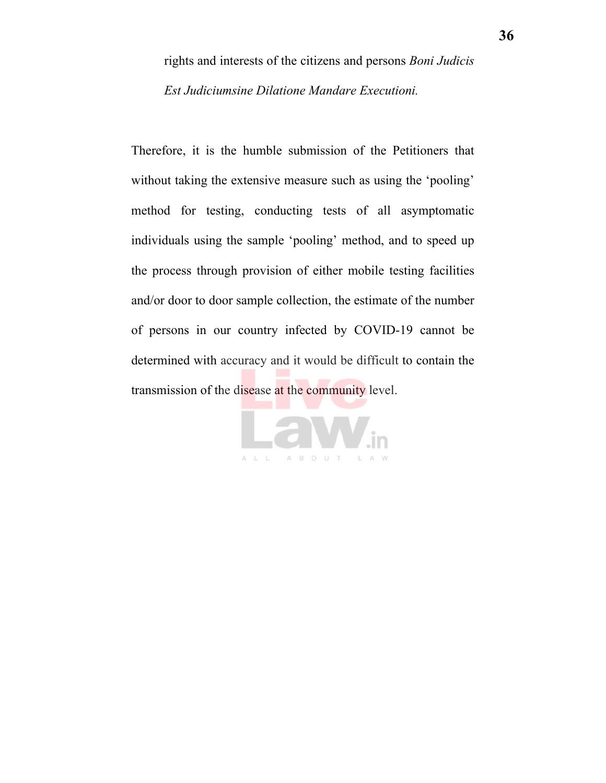rights and interests of the citizens and persons *Boni Judicis Est Judiciumsine Dilatione Mandare Executioni.*

Therefore, it is the humble submission of the Petitioners that without taking the extensive measure such as using the 'pooling' method for testing, conducting tests of all asymptomatic individuals using the sample 'pooling' method, and to speed up the process through provision of either mobile testing facilities and/or door to door sample collection, the estimate of the number of persons in our country infected by COVID-19 cannot be determined with accuracy and it would be difficult to contain the transmission of the disease at the community level.

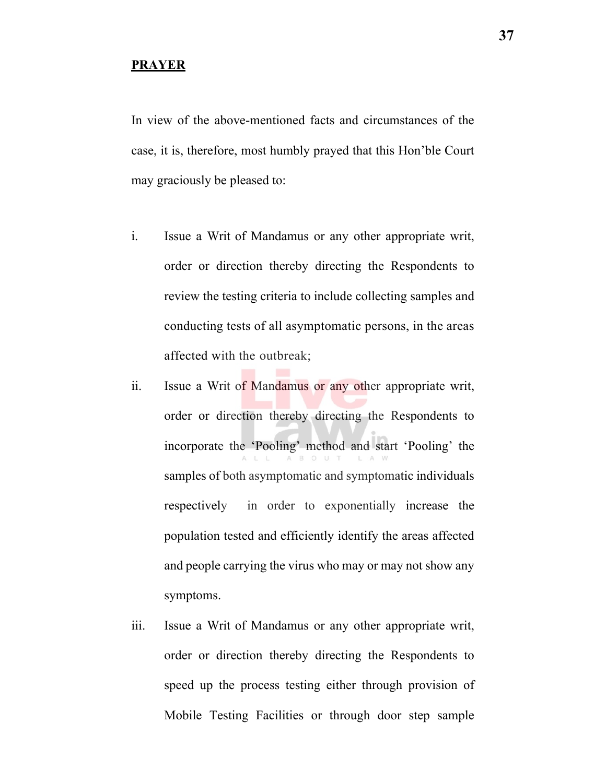#### **PRAYER**

In view of the above-mentioned facts and circumstances of the case, it is, therefore, most humbly prayed that this Hon'ble Court may graciously be pleased to:

- i. Issue a Writ of Mandamus or any other appropriate writ, order or direction thereby directing the Respondents to review the testing criteria to include collecting samples and conducting tests of all asymptomatic persons, in the areas affected with the outbreak;
- ii. Issue a Writ of Mandamus or any other appropriate writ, order or direction thereby directing the Respondents to incorporate the 'Pooling' method and start 'Pooling' the samples of both asymptomatic and symptomatic individuals respectively in order to exponentially increase the population tested and efficiently identify the areas affected and people carrying the virus who may or may not show any symptoms.
- iii. Issue a Writ of Mandamus or any other appropriate writ, order or direction thereby directing the Respondents to speed up the process testing either through provision of Mobile Testing Facilities or through door step sample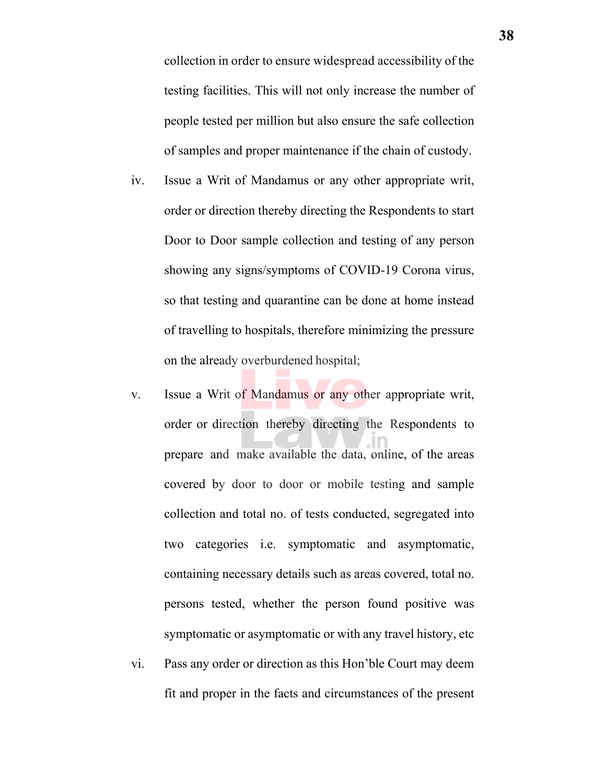collection in order to ensure widespread accessibility of the testing facilities. This will not only increase the number of people tested per million but also ensure the safe collection of samples and proper maintenance if the chain of custody.

- iv. Issue a Writ of Mandamus or any other appropriate writ, order or direction thereby directing the Respondents to start Door to Door sample collection and testing of any person showing any signs/symptoms of COVID-19 Corona virus, so that testing and quarantine can be done at home instead of travelling to hospitals, therefore minimizing the pressure on the already overburdened hospital;
- v. Issue a Writ of Mandamus or any other appropriate writ, order or direction thereby directing the Respondents to prepare and make available the data, online, of the areas covered by door to door or mobile testing and sample collection and total no. of tests conducted, segregated into two categories i.e. symptomatic and asymptomatic, containing necessary details such as areas covered, total no. persons tested, whether the person found positive was symptomatic or asymptomatic or with any travel history, etc
- vi. Pass any order or direction as this Hon'ble Court may deem fit and proper in the facts and circumstances of the present

**38**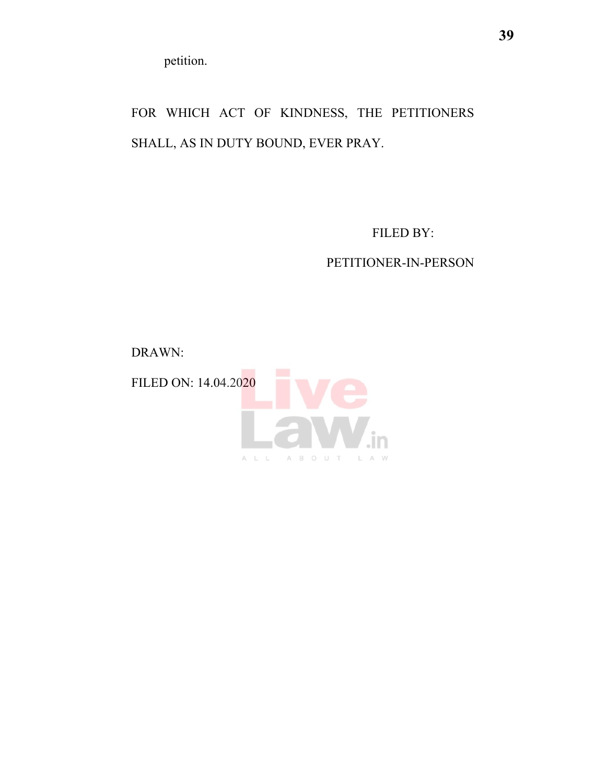petition.

FOR WHICH ACT OF KINDNESS, THE PETITIONERS SHALL, AS IN DUTY BOUND, EVER PRAY.

FILED BY:

# PETITIONER-IN-PERSON

DRAWN:

FILED ON: 14.04.2020

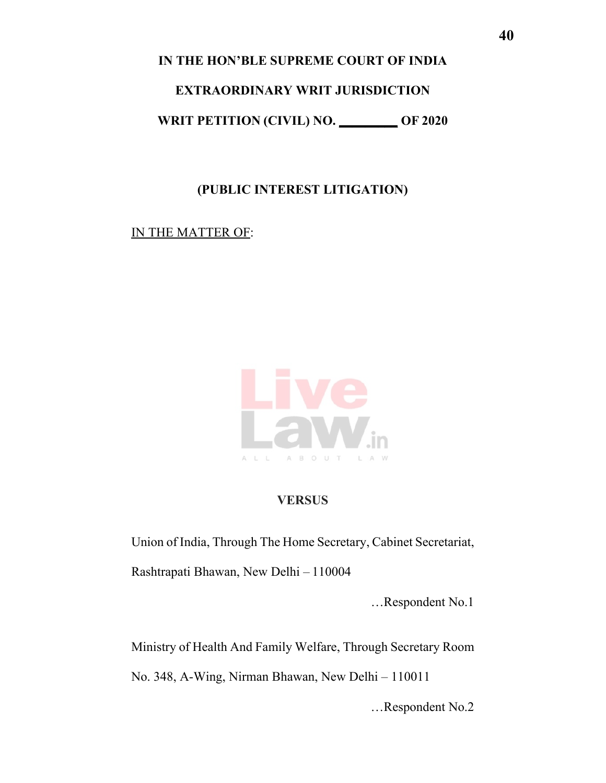**IN THE HON'BLE SUPREME COURT OF INDIA** 

#### **EXTRAORDINARY WRIT JURISDICTION**

**WRIT PETITION (CIVIL) NO. \_\_\_\_\_\_\_\_\_ OF 2020**

# **(PUBLIC INTEREST LITIGATION)**

## IN THE MATTER OF:



## **VERSUS**

Union of India, Through The Home Secretary, Cabinet Secretariat,

Rashtrapati Bhawan, New Delhi – 110004

…Respondent No.1

Ministry of Health And Family Welfare, Through Secretary Room

No. 348, A-Wing, Nirman Bhawan, New Delhi – 110011

…Respondent No.2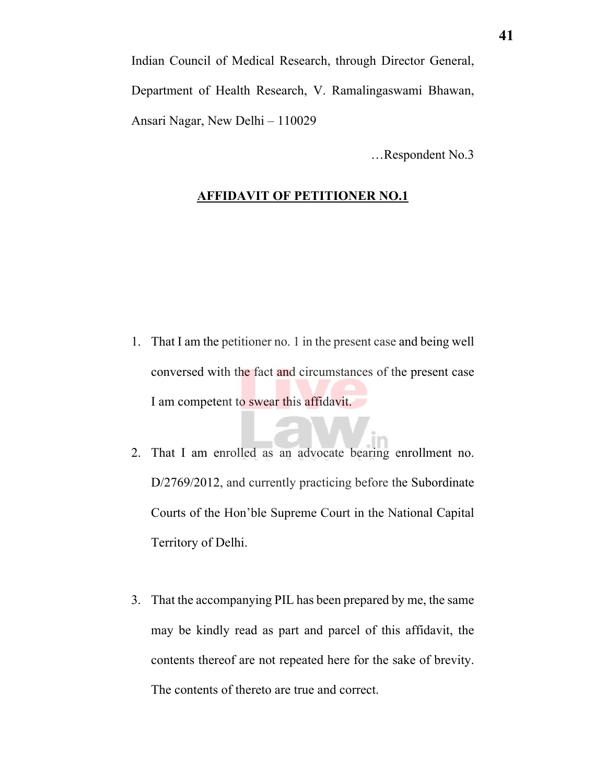Indian Council of Medical Research, through Director General, Department of Health Research, V. Ramalingaswami Bhawan, Ansari Nagar, New Delhi – 110029

…Respondent No.3

#### **AFFIDAVIT OF PETITIONER NO.1**

- 1. That I am the petitioner no. 1 in the present case and being well conversed with the fact and circumstances of the present case I am competent to swear this affidavit.
- 2. That I am enrolled as an advocate bearing enrollment no. D/2769/2012, and currently practicing before the Subordinate Courts of the Hon'ble Supreme Court in the National Capital Territory of Delhi.
- 3. That the accompanying PIL has been prepared by me, the same may be kindly read as part and parcel of this affidavit, the contents thereof are not repeated here for the sake of brevity. The contents of thereto are true and correct.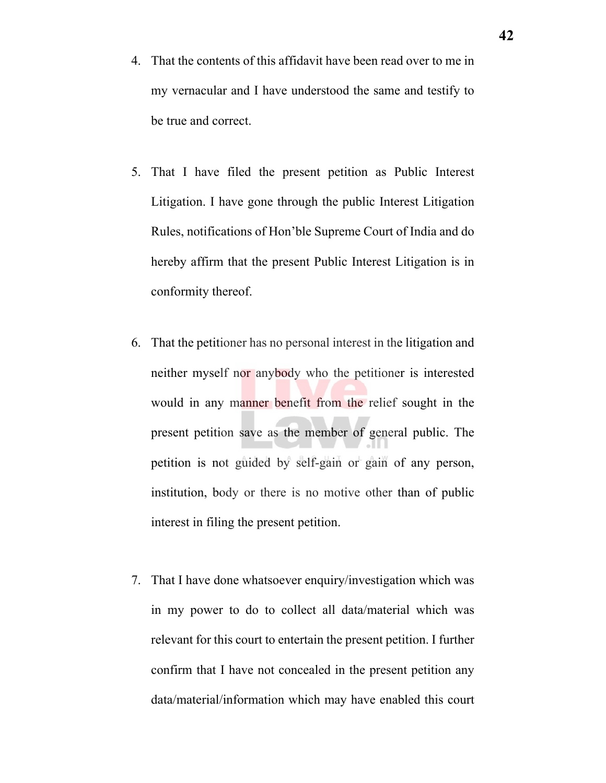- 4. That the contents of this affidavit have been read over to me in my vernacular and I have understood the same and testify to be true and correct.
- 5. That I have filed the present petition as Public Interest Litigation. I have gone through the public Interest Litigation Rules, notifications of Hon'ble Supreme Court of India and do hereby affirm that the present Public Interest Litigation is in conformity thereof.
- 6. That the petitioner has no personal interest in the litigation and neither myself nor anybody who the petitioner is interested would in any manner benefit from the relief sought in the present petition save as the member of general public. The petition is not guided by self-gain or gain of any person, institution, body or there is no motive other than of public interest in filing the present petition.
- 7. That I have done whatsoever enquiry/investigation which was in my power to do to collect all data/material which was relevant for this court to entertain the present petition. I further confirm that I have not concealed in the present petition any data/material/information which may have enabled this court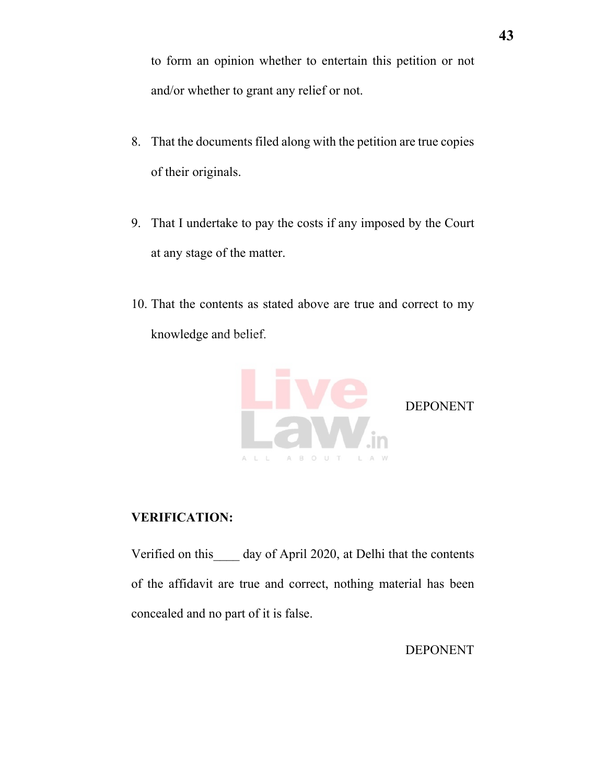to form an opinion whether to entertain this petition or not and/or whether to grant any relief or not.

- 8. That the documents filed along with the petition are true copies of their originals.
- 9. That I undertake to pay the costs if any imposed by the Court at any stage of the matter.
- 10. That the contents as stated above are true and correct to my knowledge and belief.



#### **VERIFICATION:**

Verified on this day of April 2020, at Delhi that the contents of the affidavit are true and correct, nothing material has been concealed and no part of it is false.

DEPONENT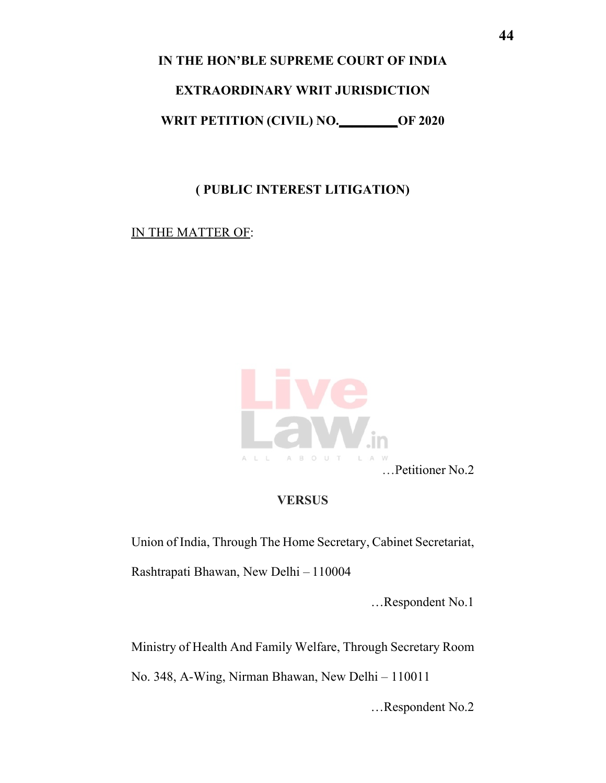**IN THE HON'BLE SUPREME COURT OF INDIA** 

# **EXTRAORDINARY WRIT JURISDICTION**

**WRIT PETITION (CIVIL) NO.\_\_\_\_\_\_\_\_\_OF 2020**

# **( PUBLIC INTEREST LITIGATION)**

IN THE MATTER OF:



…Petitioner No.2

# **VERSUS**

Union of India, Through The Home Secretary, Cabinet Secretariat,

Rashtrapati Bhawan, New Delhi – 110004

…Respondent No.1

Ministry of Health And Family Welfare, Through Secretary Room

No. 348, A-Wing, Nirman Bhawan, New Delhi – 110011

…Respondent No.2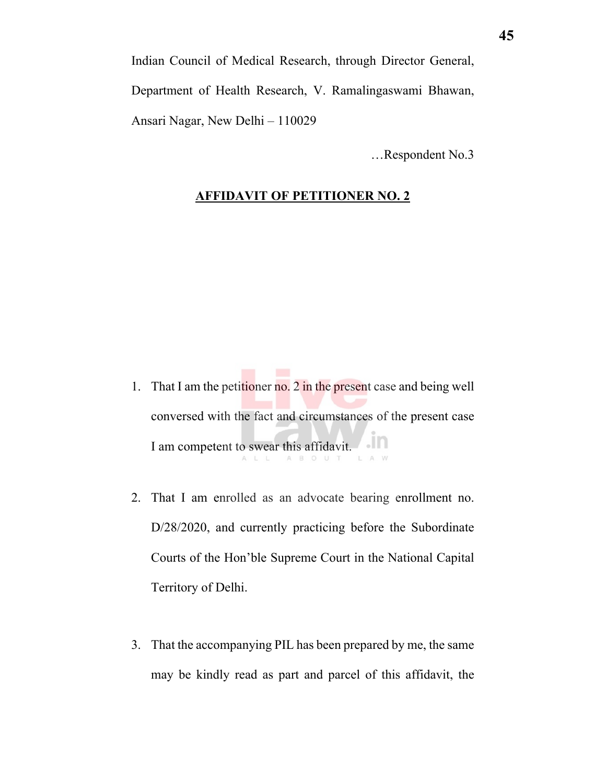Indian Council of Medical Research, through Director General, Department of Health Research, V. Ramalingaswami Bhawan, Ansari Nagar, New Delhi – 110029

…Respondent No.3

#### **AFFIDAVIT OF PETITIONER NO. 2**

- 1. That I am the petitioner no. 2 in the present case and being well conversed with the fact and circumstances of the present case I am competent to swear this affidavit.
- 2. That I am enrolled as an advocate bearing enrollment no. D/28/2020, and currently practicing before the Subordinate Courts of the Hon'ble Supreme Court in the National Capital Territory of Delhi.
- 3. That the accompanying PIL has been prepared by me, the same may be kindly read as part and parcel of this affidavit, the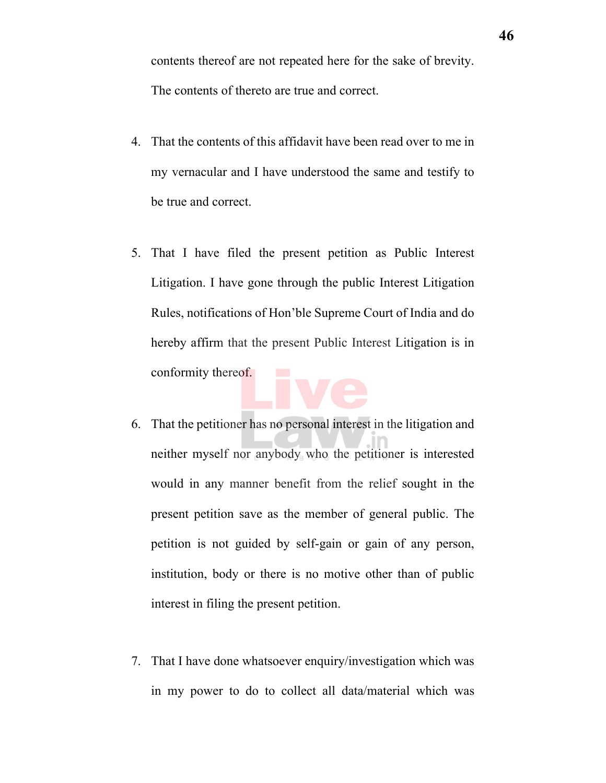contents thereof are not repeated here for the sake of brevity. The contents of thereto are true and correct.

- 4. That the contents of this affidavit have been read over to me in my vernacular and I have understood the same and testify to be true and correct.
- 5. That I have filed the present petition as Public Interest Litigation. I have gone through the public Interest Litigation Rules, notifications of Hon'ble Supreme Court of India and do hereby affirm that the present Public Interest Litigation is in conformity thereof.
- 6. That the petitioner has no personal interest in the litigation and neither myself nor anybody who the petitioner is interested would in any manner benefit from the relief sought in the present petition save as the member of general public. The petition is not guided by self-gain or gain of any person, institution, body or there is no motive other than of public interest in filing the present petition.
- 7. That I have done whatsoever enquiry/investigation which was in my power to do to collect all data/material which was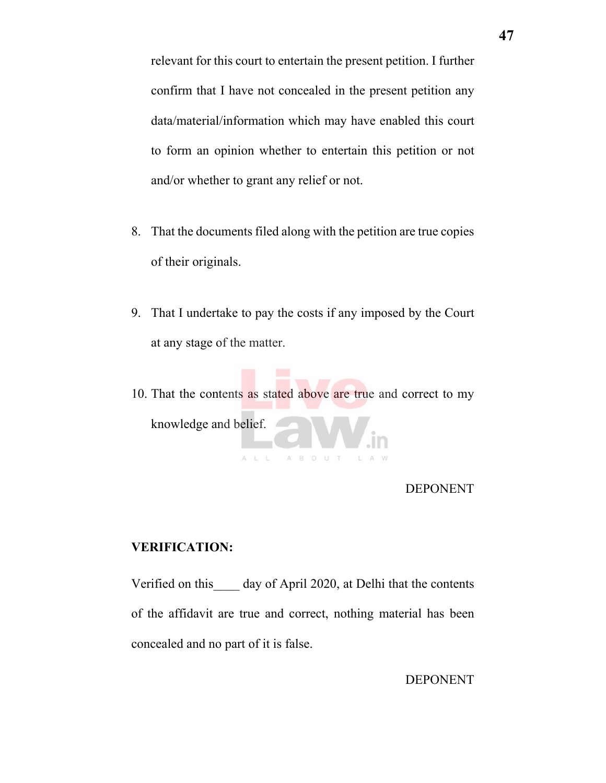relevant for this court to entertain the present petition. I further confirm that I have not concealed in the present petition any data/material/information which may have enabled this court to form an opinion whether to entertain this petition or not and/or whether to grant any relief or not.

- 8. That the documents filed along with the petition are true copies of their originals.
- 9. That I undertake to pay the costs if any imposed by the Court at any stage of the matter.
- 10. That the contents as stated above are true and correct to my knowledge and belief. A B O U T

#### DEPONENT

#### **VERIFICATION:**

Verified on this day of April 2020, at Delhi that the contents of the affidavit are true and correct, nothing material has been concealed and no part of it is false.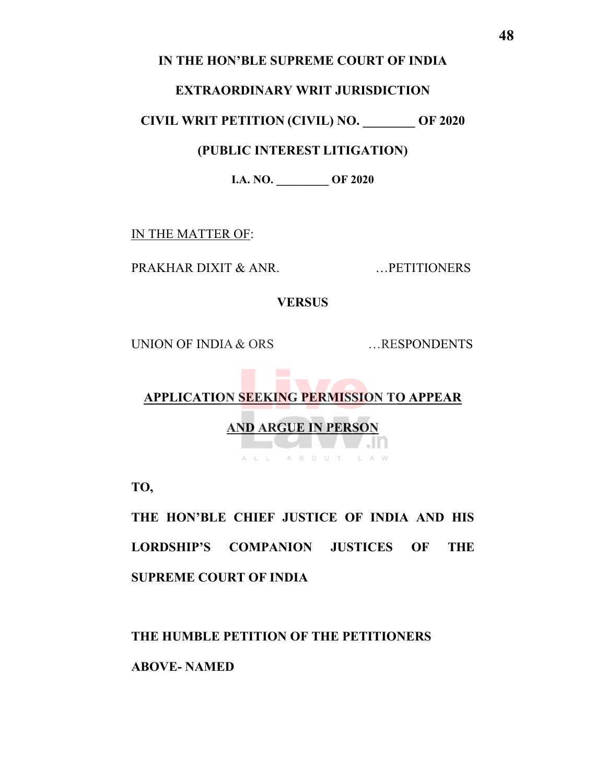### **IN THE HON'BLE SUPREME COURT OF INDIA**

#### **EXTRAORDINARY WRIT JURISDICTION**

**CIVIL WRIT PETITION (CIVIL) NO. \_\_\_\_\_\_\_\_ OF 2020**

# **(PUBLIC INTEREST LITIGATION)**

**I.A. NO. \_\_\_\_\_\_\_\_\_ OF 2020** 

IN THE MATTER OF:

PRAKHAR DIXIT & ANR. …PETITIONERS

**VERSUS**

UNION OF INDIA & ORS ....RESPONDENTS

# **APPLICATION SEEKING PERMISSION TO APPEAR**

# **AND ARGUE IN PERSON**

ALL ABOUT LAW

**TO,**

**THE HON'BLE CHIEF JUSTICE OF INDIA AND HIS LORDSHIP'S COMPANION JUSTICES OF THE SUPREME COURT OF INDIA**

**THE HUMBLE PETITION OF THE PETITIONERS** 

**ABOVE- NAMED**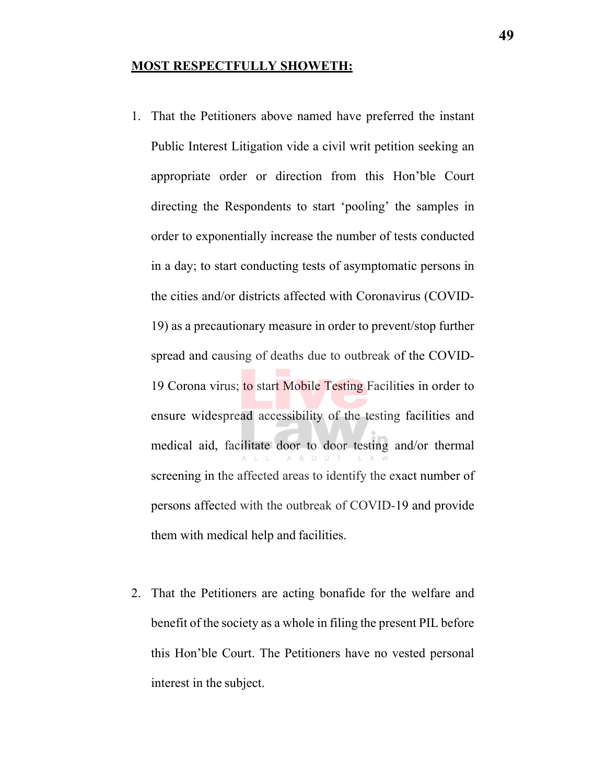#### **MOST RESPECTFULLY SHOWETH:**

- 1. That the Petitioners above named have preferred the instant Public Interest Litigation vide a civil writ petition seeking an appropriate order or direction from this Hon'ble Court directing the Respondents to start 'pooling' the samples in order to exponentially increase the number of tests conducted in a day; to start conducting tests of asymptomatic persons in the cities and/or districts affected with Coronavirus (COVID-19) as a precautionary measure in order to prevent/stop further spread and causing of deaths due to outbreak of the COVID-19 Corona virus; to start Mobile Testing Facilities in order to ensure widespread accessibility of the testing facilities and medical aid, facilitate door to door testing and/or thermal screening in the affected areas to identify the exact number of persons affected with the outbreak of COVID-19 and provide them with medical help and facilities.
- 2. That the Petitioners are acting bonafide for the welfare and benefit of the society as a whole in filing the present PIL before this Hon'ble Court. The Petitioners have no vested personal interest in the subject.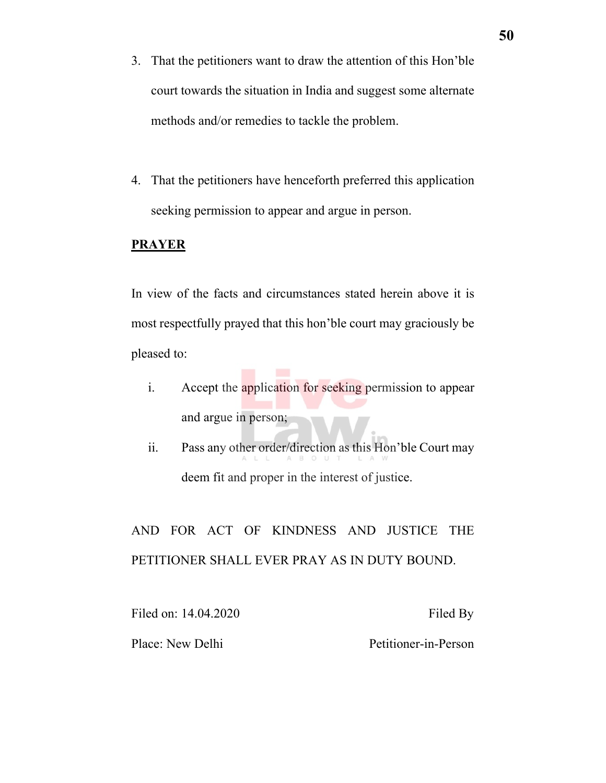- 3. That the petitioners want to draw the attention of this Hon'ble court towards the situation in India and suggest some alternate methods and/or remedies to tackle the problem.
- 4. That the petitioners have henceforth preferred this application seeking permission to appear and argue in person.

#### **PRAYER**

In view of the facts and circumstances stated herein above it is most respectfully prayed that this hon'ble court may graciously be pleased to:

- i. Accept the application for seeking permission to appear and argue in person;
- ii. Pass any other order/direction as this Hon'ble Court may deem fit and proper in the interest of justice.

AND FOR ACT OF KINDNESS AND JUSTICE THE PETITIONER SHALL EVER PRAY AS IN DUTY BOUND.

Filed on: 14.04.2020 Filed By Place: New Delhi Petitioner-in-Person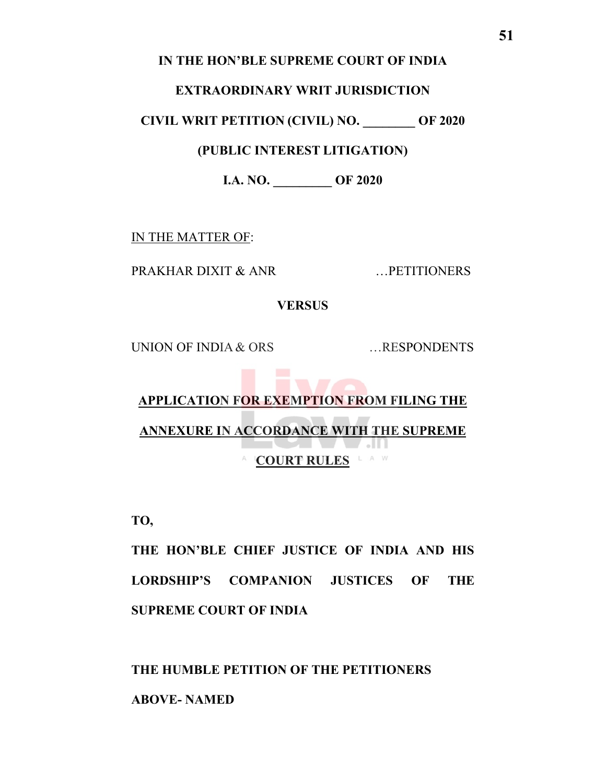### **IN THE HON'BLE SUPREME COURT OF INDIA**

#### **EXTRAORDINARY WRIT JURISDICTION**

**CIVIL WRIT PETITION (CIVIL) NO. \_\_\_\_\_\_\_\_ OF 2020**

# **(PUBLIC INTEREST LITIGATION)**

**I.A. NO. \_\_\_\_\_\_\_\_\_ OF 2020**

IN THE MATTER OF:

PRAKHAR DIXIT & ANR ...PETITIONERS

**VERSUS**

UNION OF INDIA & ORS ....RESPONDENTS

# **START APPLICATION FOR EXEMPTION FROM FILING THE ANNEXURE IN ACCORDANCE WITH THE SUPREME TALLE** A **COURT RULES** LAW

**TO,**

**THE HON'BLE CHIEF JUSTICE OF INDIA AND HIS LORDSHIP'S COMPANION JUSTICES OF THE SUPREME COURT OF INDIA**

**THE HUMBLE PETITION OF THE PETITIONERS** 

**ABOVE- NAMED**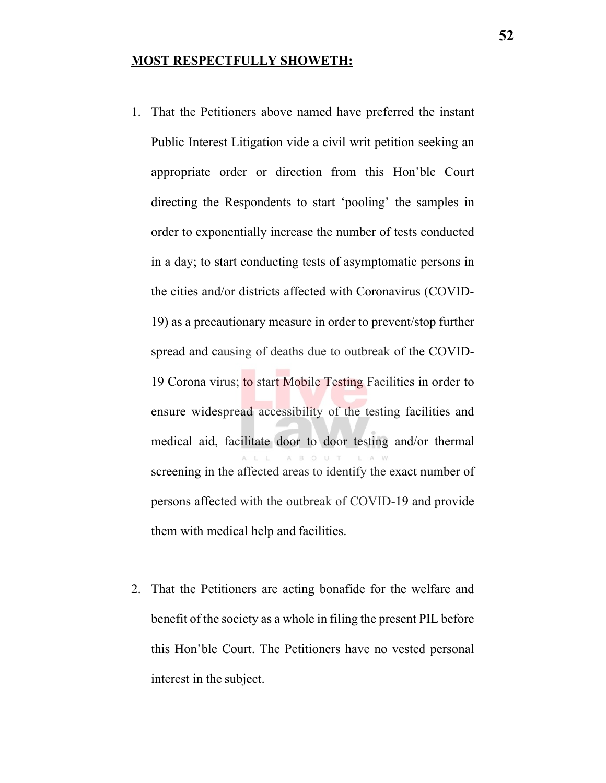#### **MOST RESPECTFULLY SHOWETH:**

- 1. That the Petitioners above named have preferred the instant Public Interest Litigation vide a civil writ petition seeking an appropriate order or direction from this Hon'ble Court directing the Respondents to start 'pooling' the samples in order to exponentially increase the number of tests conducted in a day; to start conducting tests of asymptomatic persons in the cities and/or districts affected with Coronavirus (COVID-19) as a precautionary measure in order to prevent/stop further spread and causing of deaths due to outbreak of the COVID-19 Corona virus; to start Mobile Testing Facilities in order to ensure widespread accessibility of the testing facilities and medical aid, facilitate door to door testing and/or thermal screening in the affected areas to identify the exact number of persons affected with the outbreak of COVID-19 and provide them with medical help and facilities.
- 2. That the Petitioners are acting bonafide for the welfare and benefit of the society as a whole in filing the present PIL before this Hon'ble Court. The Petitioners have no vested personal interest in the subject.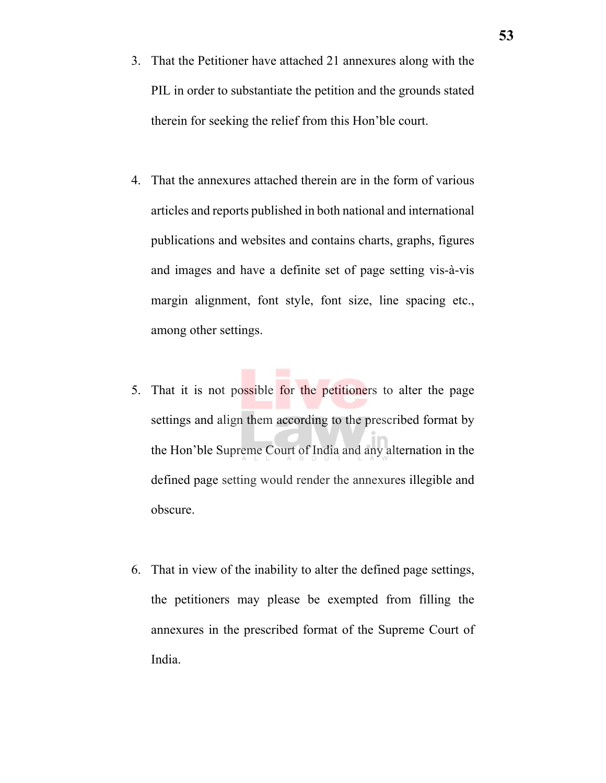- 3. That the Petitioner have attached 21 annexures along with the PIL in order to substantiate the petition and the grounds stated therein for seeking the relief from this Hon'ble court.
- 4. That the annexures attached therein are in the form of various articles and reports published in both national and international publications and websites and contains charts, graphs, figures and images and have a definite set of page setting vis-à-vis margin alignment, font style, font size, line spacing etc., among other settings.
- 5. That it is not possible for the petitioners to alter the page settings and align them according to the prescribed format by the Hon'ble Supreme Court of India and any alternation in the defined page setting would render the annexures illegible and obscure.
- 6. That in view of the inability to alter the defined page settings, the petitioners may please be exempted from filling the annexures in the prescribed format of the Supreme Court of India.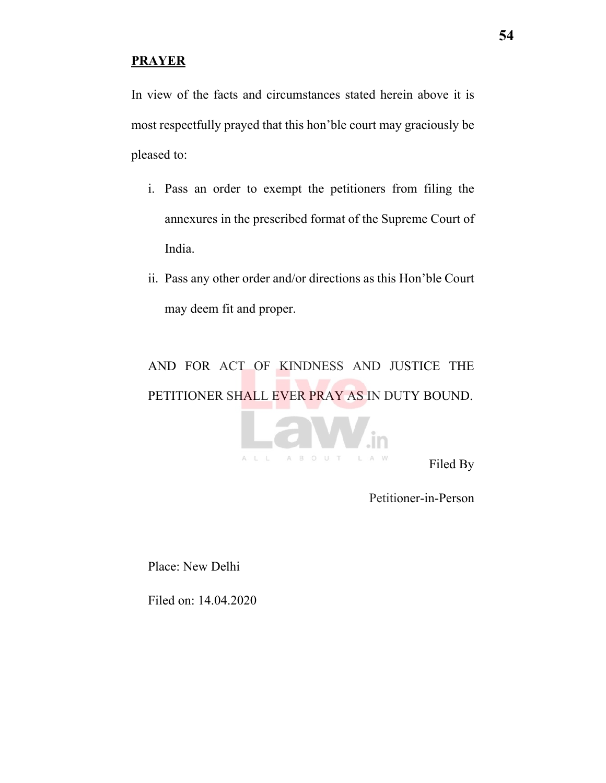### **PRAYER**

In view of the facts and circumstances stated herein above it is most respectfully prayed that this hon'ble court may graciously be pleased to:

- i. Pass an order to exempt the petitioners from filing the annexures in the prescribed format of the Supreme Court of India.
- ii. Pass any other order and/or directions as this Hon'ble Court may deem fit and proper.

# AND FOR ACT OF KINDNESS AND JUSTICE THE PETITIONER SHALL EVER PRAY AS IN DUTY BOUND.



Petitioner-in-Person

Place: New Delhi

Filed on: 14.04.2020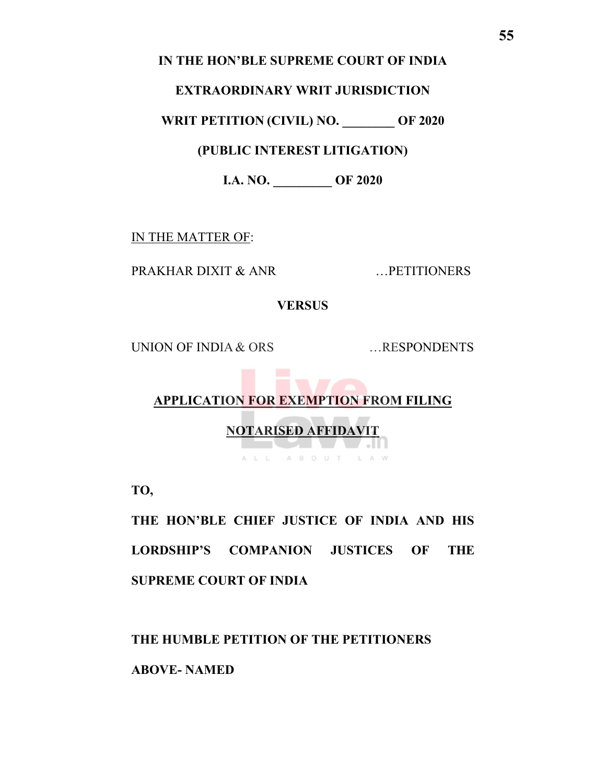## **IN THE HON'BLE SUPREME COURT OF INDIA**

#### **EXTRAORDINARY WRIT JURISDICTION**

**WRIT PETITION (CIVIL) NO. \_\_\_\_\_\_\_\_ OF 2020**

**(PUBLIC INTEREST LITIGATION)**

**I.A. NO. \_\_\_\_\_\_\_\_\_ OF 2020**

IN THE MATTER OF:

PRAKHAR DIXIT & ANR ...PETITIONERS

**VERSUS**

UNION OF INDIA & ORS ....RESPONDENTS

# **APPLICATION FOR EXEMPTION FROM FILING**

**TANK** 

**NOTARISED AFFIDAVIT**

ALL ABOUT LAW

**March 19** 

**TO,**

**THE HON'BLE CHIEF JUSTICE OF INDIA AND HIS LORDSHIP'S COMPANION JUSTICES OF THE SUPREME COURT OF INDIA**

**THE HUMBLE PETITION OF THE PETITIONERS** 

**ABOVE- NAMED**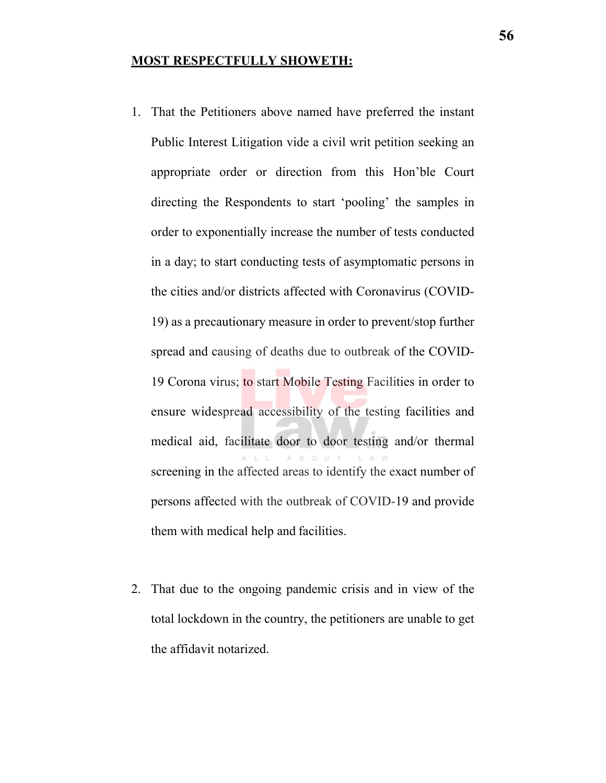#### **MOST RESPECTFULLY SHOWETH:**

- 1. That the Petitioners above named have preferred the instant Public Interest Litigation vide a civil writ petition seeking an appropriate order or direction from this Hon'ble Court directing the Respondents to start 'pooling' the samples in order to exponentially increase the number of tests conducted in a day; to start conducting tests of asymptomatic persons in the cities and/or districts affected with Coronavirus (COVID-19) as a precautionary measure in order to prevent/stop further spread and causing of deaths due to outbreak of the COVID-19 Corona virus; to start Mobile Testing Facilities in order to ensure widespread accessibility of the testing facilities and medical aid, facilitate door to door testing and/or thermal screening in the affected areas to identify the exact number of persons affected with the outbreak of COVID-19 and provide them with medical help and facilities.
- 2. That due to the ongoing pandemic crisis and in view of the total lockdown in the country, the petitioners are unable to get the affidavit notarized.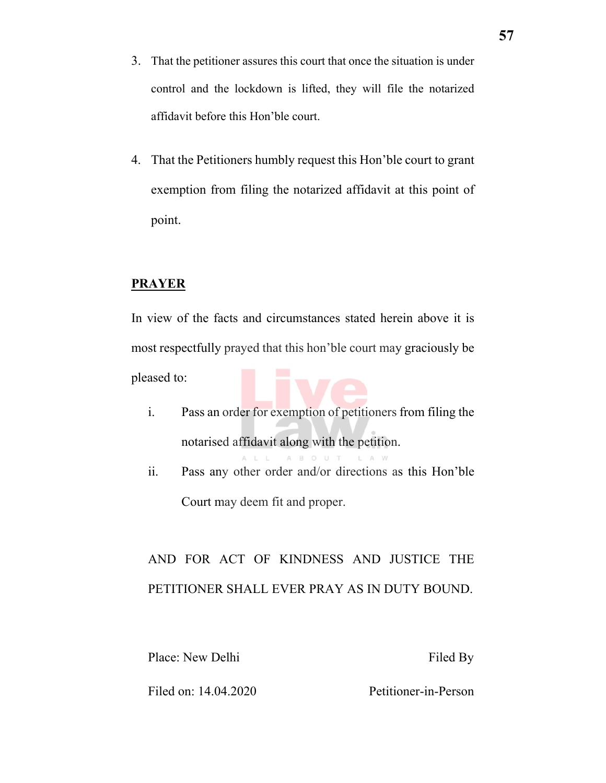- 3. That the petitioner assures this court that once the situation is under control and the lockdown is lifted, they will file the notarized affidavit before this Hon'ble court.
- 4. That the Petitioners humbly request this Hon'ble court to grant exemption from filing the notarized affidavit at this point of point.

#### **PRAYER**

In view of the facts and circumstances stated herein above it is most respectfully prayed that this hon'ble court may graciously be pleased to:

- i. Pass an order for exemption of petitioners from filing the notarised affidavit along with the petition. ABOUT  $I \triangle W$
- ii. Pass any other order and/or directions as this Hon'ble Court may deem fit and proper.

# AND FOR ACT OF KINDNESS AND JUSTICE THE PETITIONER SHALL EVER PRAY AS IN DUTY BOUND.

Place: New Delhi Filed By

Filed on: 14.04.2020 Petitioner-in-Person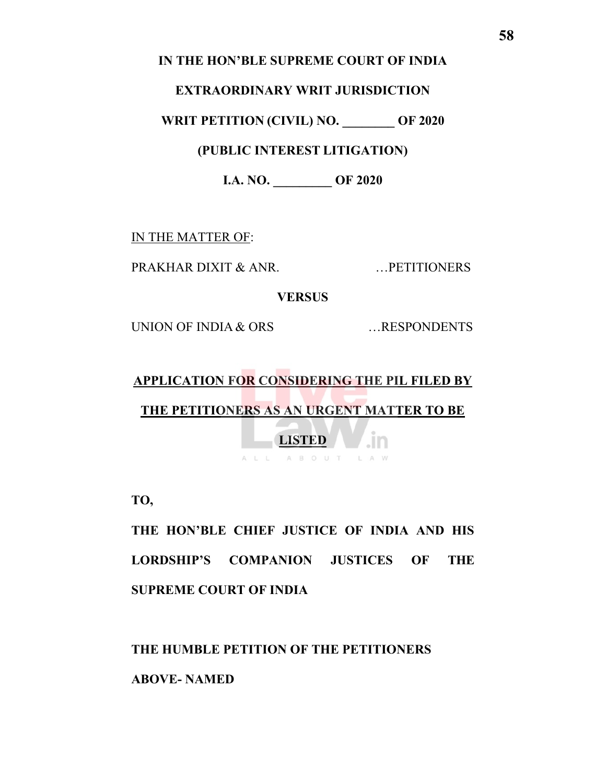### **IN THE HON'BLE SUPREME COURT OF INDIA**

#### **EXTRAORDINARY WRIT JURISDICTION**

**WRIT PETITION (CIVIL) NO. \_\_\_\_\_\_\_\_ OF 2020**

**(PUBLIC INTEREST LITIGATION)**

**I.A. NO. \_\_\_\_\_\_\_\_\_ OF 2020**

IN THE MATTER OF:

PRAKHAR DIXIT & ANR. …PETITIONERS

**VERSUS**

UNION OF INDIA & ORS ....RESPONDENTS

# **APPLICATION FOR CONSIDERING THE PIL FILED BY**

**THE PETITIONERS AS AN URGENT MATTER TO BE** 

**LISTED** ALL ABOUT LAW

**TO,**

**THE HON'BLE CHIEF JUSTICE OF INDIA AND HIS LORDSHIP'S COMPANION JUSTICES OF THE SUPREME COURT OF INDIA**

**THE HUMBLE PETITION OF THE PETITIONERS** 

**ABOVE- NAMED**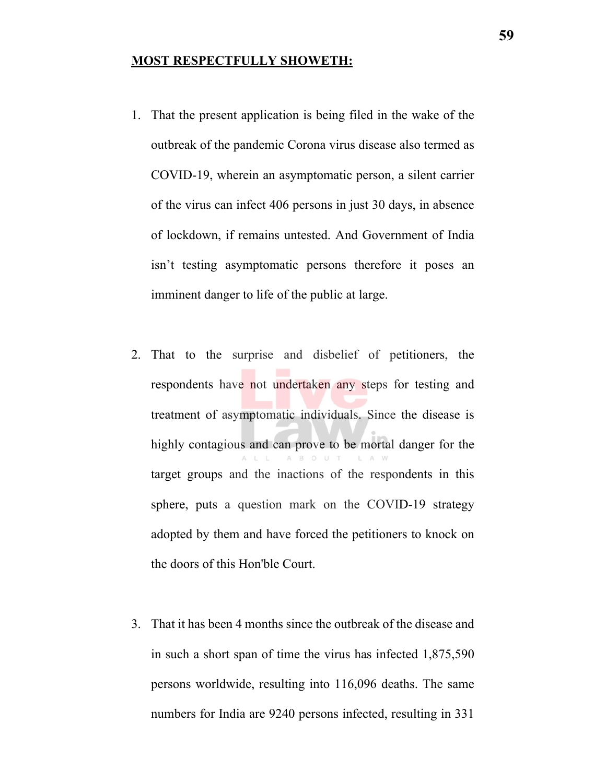#### **MOST RESPECTFULLY SHOWETH:**

- 1. That the present application is being filed in the wake of the outbreak of the pandemic Corona virus disease also termed as COVID-19, wherein an asymptomatic person, a silent carrier of the virus can infect 406 persons in just 30 days, in absence of lockdown, if remains untested. And Government of India isn't testing asymptomatic persons therefore it poses an imminent danger to life of the public at large.
- 2. That to the surprise and disbelief of petitioners, the respondents have not undertaken any steps for testing and treatment of asymptomatic individuals. Since the disease is highly contagious and can prove to be mortal danger for the  $A$  $B$ target groups and the inactions of the respondents in this sphere, puts a question mark on the COVID-19 strategy adopted by them and have forced the petitioners to knock on the doors of this Hon'ble Court.
- 3. That it has been 4 months since the outbreak of the disease and in such a short span of time the virus has infected 1,875,590 persons worldwide, resulting into 116,096 deaths. The same numbers for India are 9240 persons infected, resulting in 331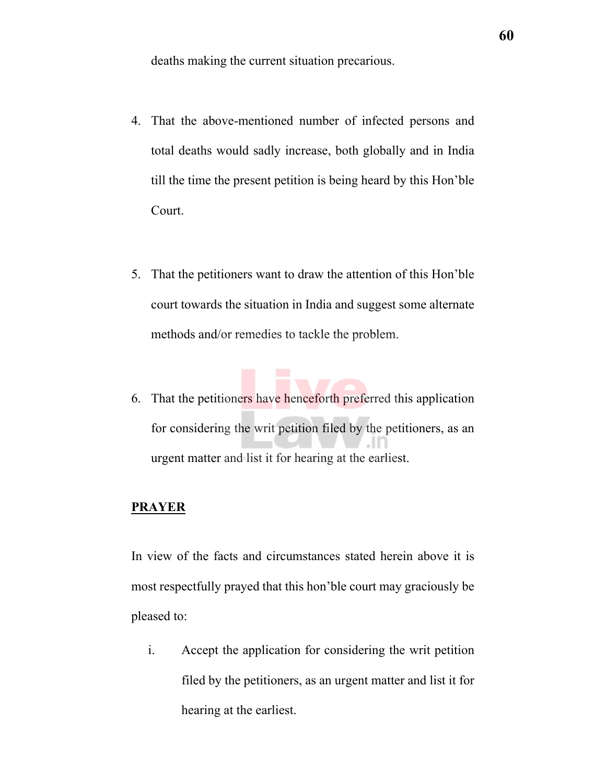deaths making the current situation precarious.

- 4. That the above-mentioned number of infected persons and total deaths would sadly increase, both globally and in India till the time the present petition is being heard by this Hon'ble Court.
- 5. That the petitioners want to draw the attention of this Hon'ble court towards the situation in India and suggest some alternate methods and/or remedies to tackle the problem.
- 6. That the petitioners have henceforth preferred this application for considering the writ petition filed by the petitioners, as an urgent matter and list it for hearing at the earliest.

# **PRAYER**

In view of the facts and circumstances stated herein above it is most respectfully prayed that this hon'ble court may graciously be pleased to:

i. Accept the application for considering the writ petition filed by the petitioners, as an urgent matter and list it for hearing at the earliest.